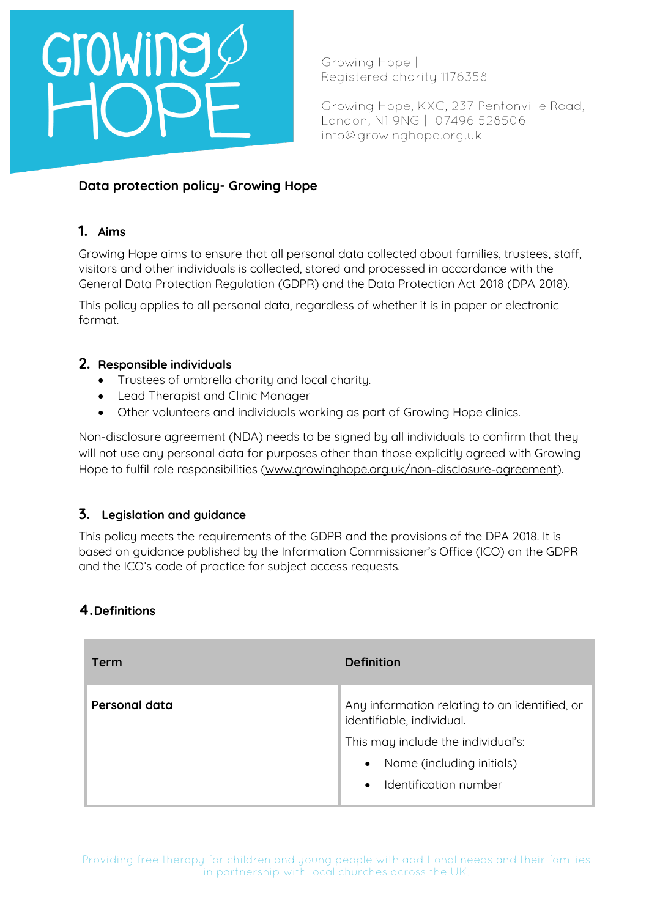Growing Hope | Registered charity 1176358

Growing Hope, KXC, 237 Pentonville Road, London, N1 9NG | 07496 528506 info@growinghope.org.uk

### **Data protection policy- Growing Hope**

### **1. Aims**

Growing Hope aims to ensure that all personal data collected about families, trustees, staff, visitors and other individuals is collected, stored and processed in accordance with the General Data Protection Regulation (GDPR) and the Data Protection Act 2018 (DPA 2018).

This policy applies to all personal data, regardless of whether it is in paper or electronic format.

### **2. Responsible individuals**

- Trustees of umbrella charity and local charity.
- Lead Therapist and Clinic Manager
- Other volunteers and individuals working as part of Growing Hope clinics.

Non-disclosure agreement (NDA) needs to be signed by all individuals to confirm that they will not use any personal data for purposes other than those explicitly agreed with Growing Hope to fulfil role responsibilities [\(www.growinghope.org.uk/non-disclosure-agreement\)](http://www.growinghope.org.uk/non-disclosure-agreement).

### **3. Legislation and guidance**

This policy meets the requirements of the GDPR and the provisions of the DPA 2018. It is based on guidance published by the Information Commissioner's Office (ICO) on the GDPR and the ICO's code of practice for subject access requests.

### **4.Definitions**

| <b>Term</b>   | <b>Definition</b>                                                                                                                                                                                |
|---------------|--------------------------------------------------------------------------------------------------------------------------------------------------------------------------------------------------|
| Personal data | Any information relating to an identified, or<br>identifiable, individual.<br>This may include the individual's:<br>Name (including initials)<br>$\bullet$<br>Identification number<br>$\bullet$ |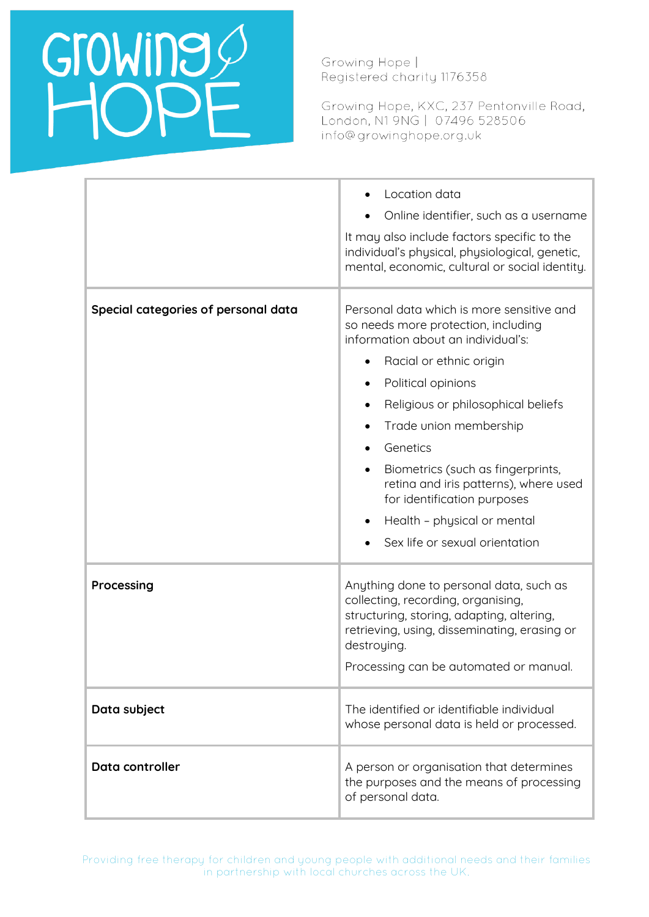Growing Hope | Registered charity 1176358

Growing Hope, KXC, 237 Pentonville Road, London, N1 9NG | 07496 528506 info@growinghope.org.uk

|                                     | Location data<br>Online identifier, such as a username<br>It may also include factors specific to the<br>individual's physical, physiological, genetic,<br>mental, economic, cultural or social identity.                                                                                                                                                                                                                                                        |
|-------------------------------------|------------------------------------------------------------------------------------------------------------------------------------------------------------------------------------------------------------------------------------------------------------------------------------------------------------------------------------------------------------------------------------------------------------------------------------------------------------------|
| Special categories of personal data | Personal data which is more sensitive and<br>so needs more protection, including<br>information about an individual's:<br>Racial or ethnic origin<br>Political opinions<br>Religious or philosophical beliefs<br>$\bullet$<br>Trade union membership<br>Genetics<br>Biometrics (such as fingerprints,<br>$\bullet$<br>retina and iris patterns), where used<br>for identification purposes<br>Health - physical or mental<br>٠<br>Sex life or sexual orientation |
| Processing                          | Anything done to personal data, such as<br>collecting, recording, organising,<br>structuring, storing, adapting, altering,<br>retrieving, using, disseminating, erasing or<br>destroying.<br>Processing can be automated or manual.                                                                                                                                                                                                                              |
| Data subject                        | The identified or identifiable individual<br>whose personal data is held or processed.                                                                                                                                                                                                                                                                                                                                                                           |
| Data controller                     | A person or organisation that determines<br>the purposes and the means of processing<br>of personal data.                                                                                                                                                                                                                                                                                                                                                        |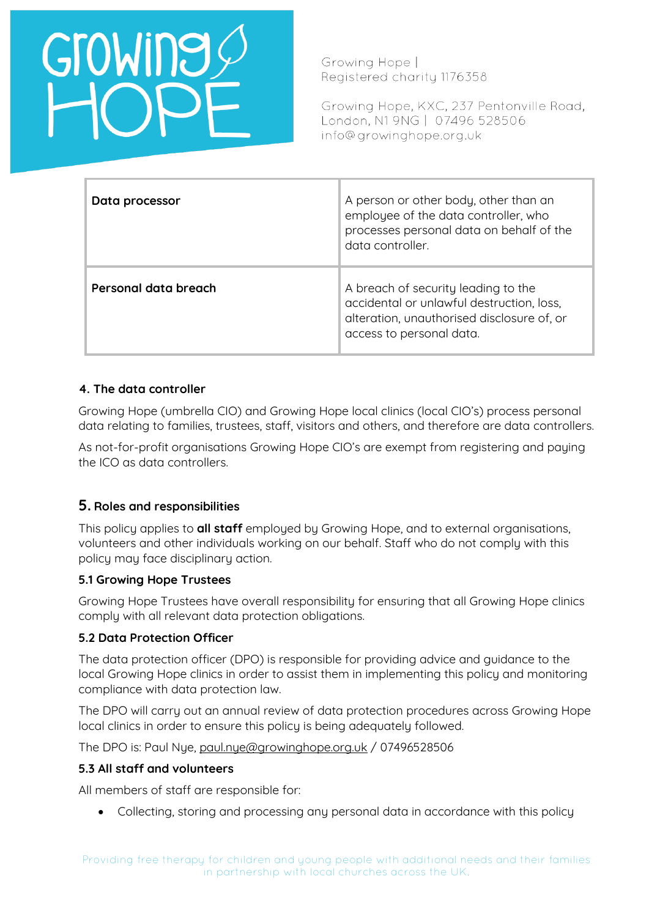Growing Hope | Registered charity 1176358

Growing Hope, KXC, 237 Pentonville Road, London, N1 9NG | 07496 528506 info@growinghope.org.uk

| Data processor       | A person or other body, other than an<br>employee of the data controller, who<br>processes personal data on behalf of the<br>data controller.              |
|----------------------|------------------------------------------------------------------------------------------------------------------------------------------------------------|
| Personal data breach | A breach of security leading to the<br>accidental or unlawful destruction, loss,<br>alteration, unauthorised disclosure of, or<br>access to personal data. |

### **4. The data controller**

Growing Hope (umbrella CIO) and Growing Hope local clinics (local CIO's) process personal data relating to families, trustees, staff, visitors and others, and therefore are data controllers.

As not-for-profit organisations Growing Hope CIO's are exempt from registering and paying the ICO as data controllers.

### **5. Roles and responsibilities**

This policy applies to **all staff** employed by Growing Hope, and to external organisations, volunteers and other individuals working on our behalf. Staff who do not comply with this policy may face disciplinary action.

### **5.1 Growing Hope Trustees**

Growing Hope Trustees have overall responsibility for ensuring that all Growing Hope clinics comply with all relevant data protection obligations.

### **5.2 Data Protection Officer**

The data protection officer (DPO) is responsible for providing advice and guidance to the local Growing Hope clinics in order to assist them in implementing this policy and monitoring compliance with data protection law.

The DPO will carry out an annual review of data protection procedures across Growing Hope local clinics in order to ensure this policy is being adequately followed.

The DPO is: Paul Nye, [paul.nye@growinghope.org.uk](mailto:paul.nye@growinghope.org.uk) / 07496528506

### **5.3 All staff and volunteers**

All members of staff are responsible for:

• Collecting, storing and processing any personal data in accordance with this policy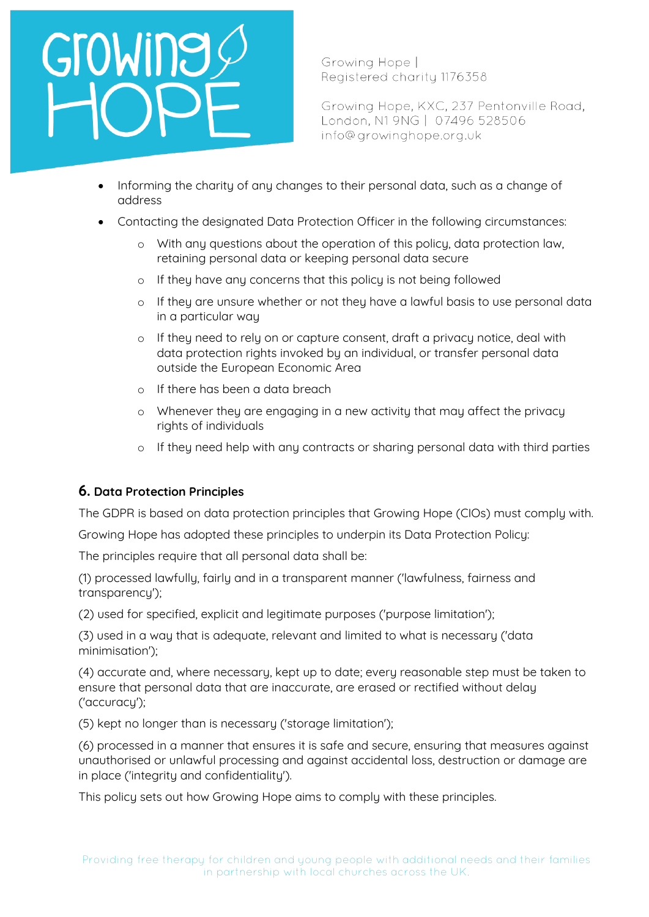## GroWing

Growing Hope | Registered charity 1176358

Growing Hope, KXC, 237 Pentonville Road, London, N1 9NG | 07496 528506 info@growinghope.org.uk

- Informing the charity of any changes to their personal data, such as a change of address
- Contacting the designated Data Protection Officer in the following circumstances:
	- o With any questions about the operation of this policy, data protection law, retaining personal data or keeping personal data secure
	- o If they have any concerns that this policy is not being followed
	- o If they are unsure whether or not they have a lawful basis to use personal data in a particular way
	- o If they need to rely on or capture consent, draft a privacy notice, deal with data protection rights invoked by an individual, or transfer personal data outside the European Economic Area
	- o If there has been a data breach
	- o Whenever they are engaging in a new activity that may affect the privacy rights of individuals
	- o If they need help with any contracts or sharing personal data with third parties

### **6. Data Protection Principles**

The GDPR is based on data protection principles that Growing Hope (CIOs) must comply with.

Growing Hope has adopted these principles to underpin its Data Protection Policy:

The principles require that all personal data shall be:

(1) processed lawfully, fairly and in a transparent manner ('lawfulness, fairness and transparency');

(2) used for specified, explicit and legitimate purposes ('purpose limitation');

(3) used in a way that is adequate, relevant and limited to what is necessary ('data minimisation');

(4) accurate and, where necessary, kept up to date; every reasonable step must be taken to ensure that personal data that are inaccurate, are erased or rectified without delay ('accuracy');

(5) kept no longer than is necessary ('storage limitation');

(6) processed in a manner that ensures it is safe and secure, ensuring that measures against unauthorised or unlawful processing and against accidental loss, destruction or damage are in place ('integrity and confidentiality').

This policy sets out how Growing Hope aims to comply with these principles.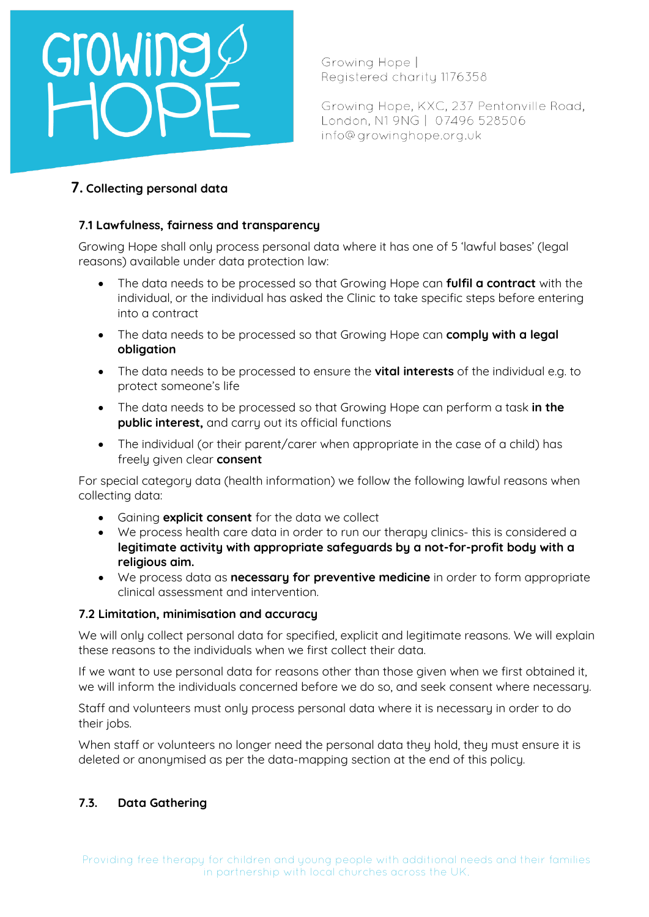## GroWine

Growing Hope | Registered charity 1176358

Growing Hope, KXC, 237 Pentonville Road, London, N1 9NG | 07496 528506 info@growinghope.org.uk

### **7. Collecting personal data**

### **7.1 Lawfulness, fairness and transparency**

Growing Hope shall only process personal data where it has one of 5 'lawful bases' (legal reasons) available under data protection law:

- The data needs to be processed so that Growing Hope can **fulfil a contract** with the individual, or the individual has asked the Clinic to take specific steps before entering into a contract
- The data needs to be processed so that Growing Hope can **comply with a legal obligation**
- The data needs to be processed to ensure the **vital interests** of the individual e.g. to protect someone's life
- The data needs to be processed so that Growing Hope can perform a task **in the public interest,** and carry out its official functions
- The individual (or their parent/carer when appropriate in the case of a child) has freely given clear **consent**

For special category data (health information) we follow the following lawful reasons when collecting data:

- Gaining **explicit consent** for the data we collect
- We process health care data in order to run our therapy clinics- this is considered a **legitimate activity with appropriate safeguards by a not-for-profit body with a religious aim.**
- We process data as **necessary for preventive medicine** in order to form appropriate clinical assessment and intervention.

### **7.2 Limitation, minimisation and accuracy**

We will only collect personal data for specified, explicit and legitimate reasons. We will explain these reasons to the individuals when we first collect their data.

If we want to use personal data for reasons other than those given when we first obtained it, we will inform the individuals concerned before we do so, and seek consent where necessary.

Staff and volunteers must only process personal data where it is necessary in order to do their jobs.

When staff or volunteers no longer need the personal data they hold, they must ensure it is deleted or anonymised as per the data-mapping section at the end of this policy.

### **7.3. Data Gathering**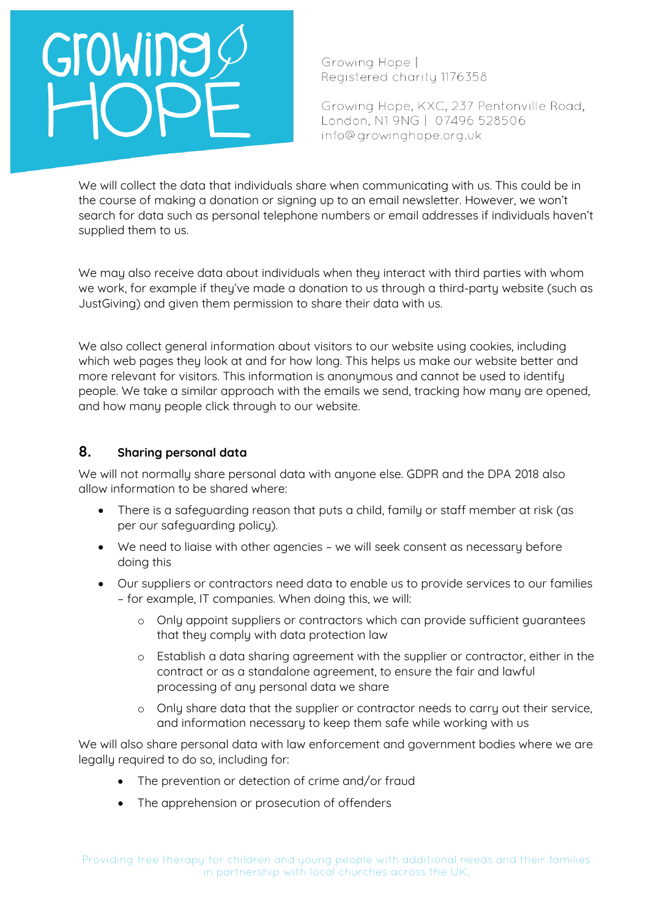Growing Hope | Registered charity 1176358

Growing Hope, KXC, 237 Pentonville Road, London, N1 9NG | 07496 528506 info@growinghope.org.uk

We will collect the data that individuals share when communicating with us. This could be in the course of making a donation or signing up to an email newsletter. However, we won't search for data such as personal telephone numbers or email addresses if individuals haven't supplied them to us.

We may also receive data about individuals when they interact with third parties with whom we work, for example if they've made a donation to us through a third-party website (such as JustGiving) and given them permission to share their data with us.

We also collect general information about visitors to our website using cookies, including which web pages they look at and for how long. This helps us make our website better and more relevant for visitors. This information is anonymous and cannot be used to identify people. We take a similar approach with the emails we send, tracking how many are opened, and how many people click through to our website.

### **8. Sharing personal data**

We will not normally share personal data with anyone else. GDPR and the DPA 2018 also allow information to be shared where:

- There is a safeguarding reason that puts a child, family or staff member at risk (as per our safeguarding policy).
- We need to liaise with other agencies we will seek consent as necessary before doing this
- Our suppliers or contractors need data to enable us to provide services to our families – for example, IT companies. When doing this, we will:
	- o Only appoint suppliers or contractors which can provide sufficient guarantees that they comply with data protection law
	- o Establish a data sharing agreement with the supplier or contractor, either in the contract or as a standalone agreement, to ensure the fair and lawful processing of any personal data we share
	- o Only share data that the supplier or contractor needs to carry out their service, and information necessary to keep them safe while working with us

We will also share personal data with law enforcement and government bodies where we are legally required to do so, including for:

- The prevention or detection of crime and/or fraud
- The apprehension or prosecution of offenders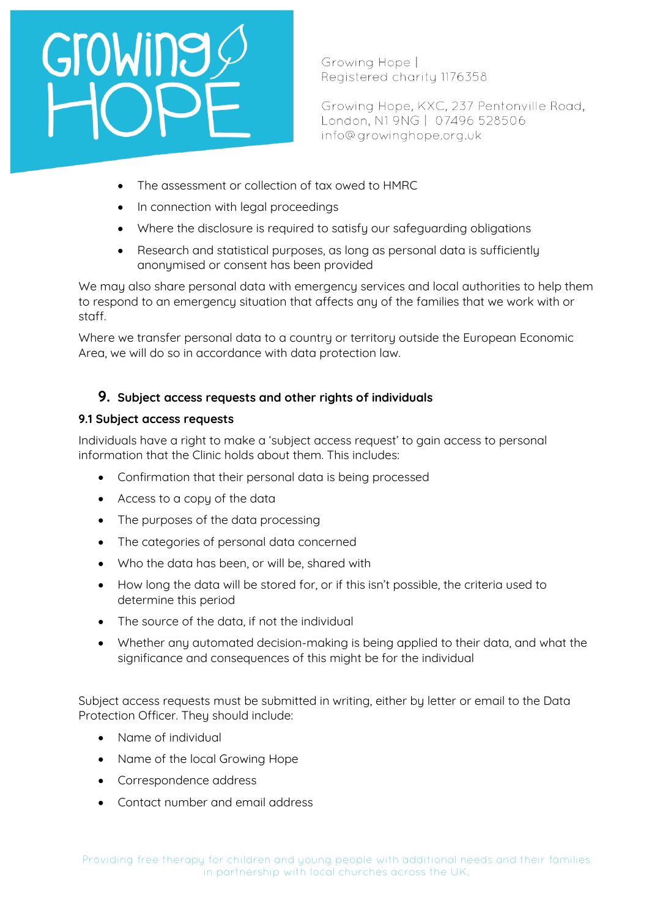Growing Hope | Registered charity 1176358

Growing Hope, KXC, 237 Pentonville Road, London, N1 9NG | 07496 528506 info@growinghope.org.uk

- The assessment or collection of tax owed to HMRC
- In connection with legal proceedings
- Where the disclosure is required to satisfy our safeguarding obligations
- Research and statistical purposes, as long as personal data is sufficiently anonymised or consent has been provided

We may also share personal data with emergency services and local authorities to help them to respond to an emergency situation that affects any of the families that we work with or staff.

Where we transfer personal data to a country or territory outside the European Economic Area, we will do so in accordance with data protection law.

### **9. Subject access requests and other rights of individuals**

### **9.1 Subject access requests**

Individuals have a right to make a 'subject access request' to gain access to personal information that the Clinic holds about them. This includes:

- Confirmation that their personal data is being processed
- Access to a copy of the data
- The purposes of the data processing
- The categories of personal data concerned
- Who the data has been, or will be, shared with
- How long the data will be stored for, or if this isn't possible, the criteria used to determine this period
- The source of the data, if not the individual
- Whether any automated decision-making is being applied to their data, and what the significance and consequences of this might be for the individual

Subject access requests must be submitted in writing, either by letter or email to the Data Protection Officer. They should include:

- Name of individual
- Name of the local Growing Hope
- Correspondence address
- Contact number and email address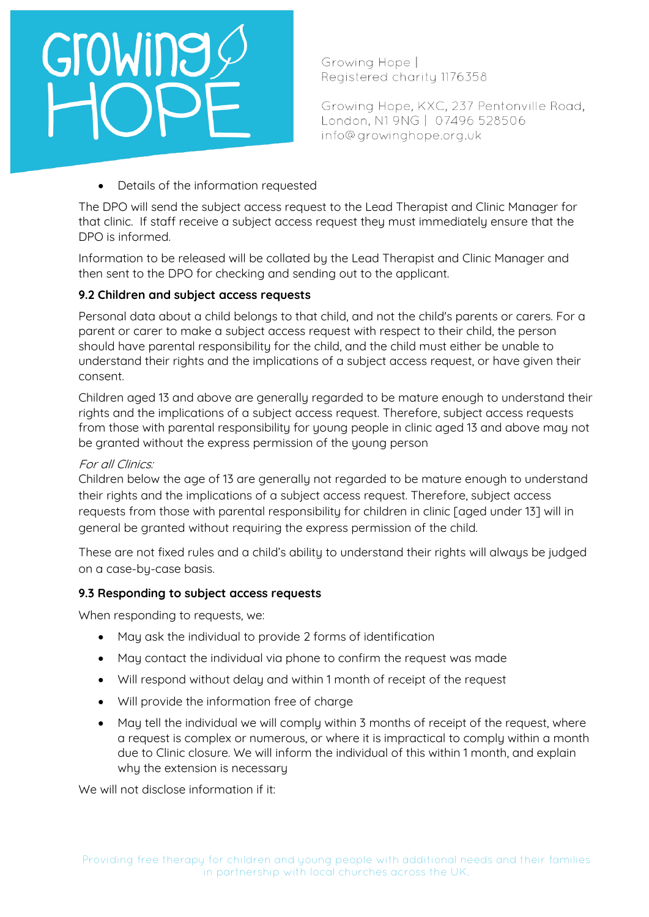Growing Hope | Registered charity 1176358

Growing Hope, KXC, 237 Pentonville Road, London, N1 9NG | 07496 528506 info@growinghope.org.uk

• Details of the information requested

The DPO will send the subject access request to the Lead Therapist and Clinic Manager for that clinic. If staff receive a subject access request they must immediately ensure that the DPO is informed.

Information to be released will be collated by the Lead Therapist and Clinic Manager and then sent to the DPO for checking and sending out to the applicant.

### **9.2 Children and subject access requests**

Personal data about a child belongs to that child, and not the child's parents or carers. For a parent or carer to make a subject access request with respect to their child, the person should have parental responsibility for the child, and the child must either be unable to understand their rights and the implications of a subject access request, or have given their consent.

Children aged 13 and above are generally regarded to be mature enough to understand their rights and the implications of a subject access request. Therefore, subject access requests from those with parental responsibility for young people in clinic aged 13 and above may not be granted without the express permission of the young person

### For all Clinics:

Children below the age of 13 are generally not regarded to be mature enough to understand their rights and the implications of a subject access request. Therefore, subject access requests from those with parental responsibility for children in clinic [aged under 13] will in general be granted without requiring the express permission of the child.

These are not fixed rules and a child's ability to understand their rights will always be judged on a case-by-case basis.

### **9.3 Responding to subject access requests**

When responding to requests, we:

- May ask the individual to provide 2 forms of identification
- May contact the individual via phone to confirm the request was made
- Will respond without delay and within 1 month of receipt of the request
- Will provide the information free of charge
- May tell the individual we will comply within 3 months of receipt of the request, where a request is complex or numerous, or where it is impractical to comply within a month due to Clinic closure. We will inform the individual of this within 1 month, and explain why the extension is necessary

We will not disclose information if it: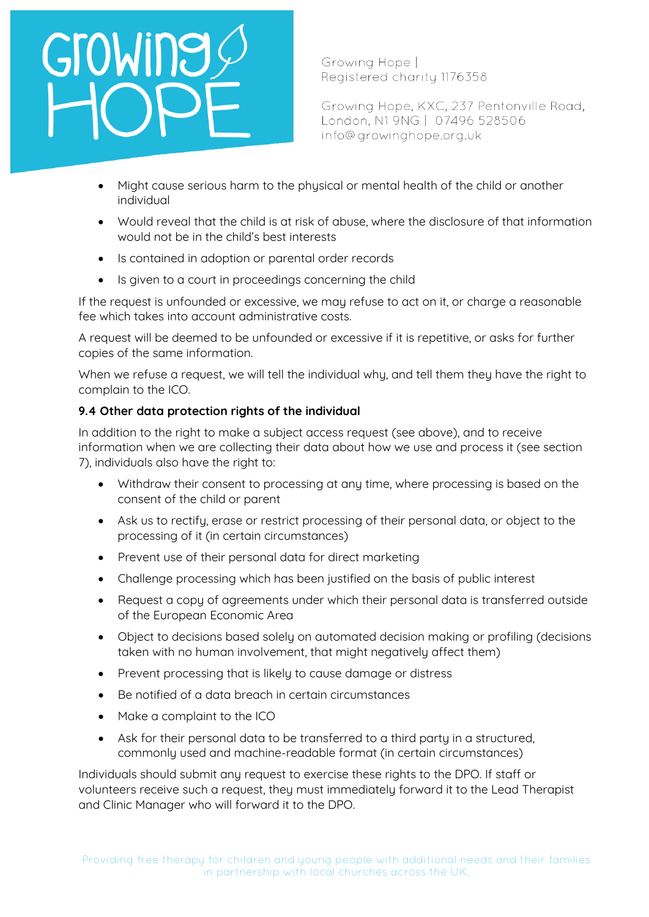## GroWine

Growing Hope | Registered charity 1176358

Growing Hope, KXC, 237 Pentonville Road, London, N1 9NG | 07496 528506 info@growinghope.org.uk

- Might cause serious harm to the physical or mental health of the child or another individual
- Would reveal that the child is at risk of abuse, where the disclosure of that information would not be in the child's best interests
- Is contained in adoption or parental order records
- Is given to a court in proceedings concerning the child

If the request is unfounded or excessive, we may refuse to act on it, or charge a reasonable fee which takes into account administrative costs.

A request will be deemed to be unfounded or excessive if it is repetitive, or asks for further copies of the same information.

When we refuse a request, we will tell the individual why, and tell them they have the right to complain to the ICO.

### **9.4 Other data protection rights of the individual**

In addition to the right to make a subject access request (see above), and to receive information when we are collecting their data about how we use and process it (see section 7), individuals also have the right to:

- Withdraw their consent to processing at any time, where processing is based on the consent of the child or parent
- Ask us to rectify, erase or restrict processing of their personal data, or object to the processing of it (in certain circumstances)
- Prevent use of their personal data for direct marketing
- Challenge processing which has been justified on the basis of public interest
- Request a copy of agreements under which their personal data is transferred outside of the European Economic Area
- Object to decisions based solely on automated decision making or profiling (decisions taken with no human involvement, that might negatively affect them)
- Prevent processing that is likely to cause damage or distress
- Be notified of a data breach in certain circumstances
- Make a complaint to the ICO
- Ask for their personal data to be transferred to a third party in a structured, commonly used and machine-readable format (in certain circumstances)

Individuals should submit any request to exercise these rights to the DPO. If staff or volunteers receive such a request, they must immediately forward it to the Lead Therapist and Clinic Manager who will forward it to the DPO.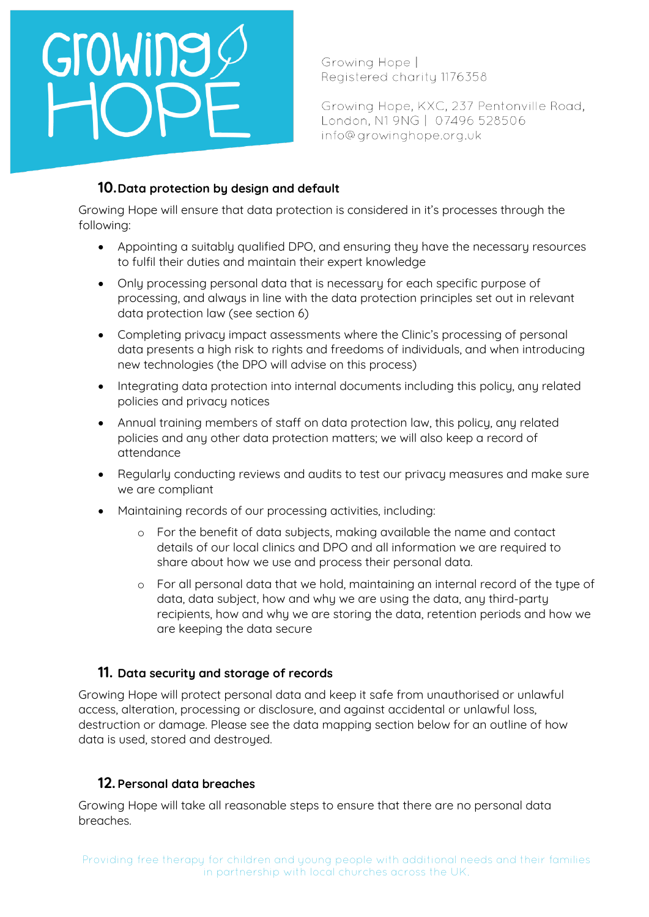## GroWing

Growing Hope | Registered charity 1176358

Growing Hope, KXC, 237 Pentonville Road, London, N1 9NG | 07496 528506 info@growinghope.org.uk

### **10.Data protection by design and default**

Growing Hope will ensure that data protection is considered in it's processes through the following:

- Appointing a suitably qualified DPO, and ensuring they have the necessary resources to fulfil their duties and maintain their expert knowledge
- Only processing personal data that is necessary for each specific purpose of processing, and always in line with the data protection principles set out in relevant data protection law (see section 6)
- Completing privacy impact assessments where the Clinic's processing of personal data presents a high risk to rights and freedoms of individuals, and when introducing new technologies (the DPO will advise on this process)
- Integrating data protection into internal documents including this policy, any related policies and privacy notices
- Annual training members of staff on data protection law, this policy, any related policies and any other data protection matters; we will also keep a record of attendance
- Regularly conducting reviews and audits to test our privacy measures and make sure we are compliant
- Maintaining records of our processing activities, including:
	- o For the benefit of data subjects, making available the name and contact details of our local clinics and DPO and all information we are required to share about how we use and process their personal data.
	- o For all personal data that we hold, maintaining an internal record of the type of data, data subject, how and why we are using the data, any third-party recipients, how and why we are storing the data, retention periods and how we are keeping the data secure

### **11. Data security and storage of records**

Growing Hope will protect personal data and keep it safe from unauthorised or unlawful access, alteration, processing or disclosure, and against accidental or unlawful loss, destruction or damage. Please see the data mapping section below for an outline of how data is used, stored and destroyed.

### **12. Personal data breaches**

Growing Hope will take all reasonable steps to ensure that there are no personal data breaches.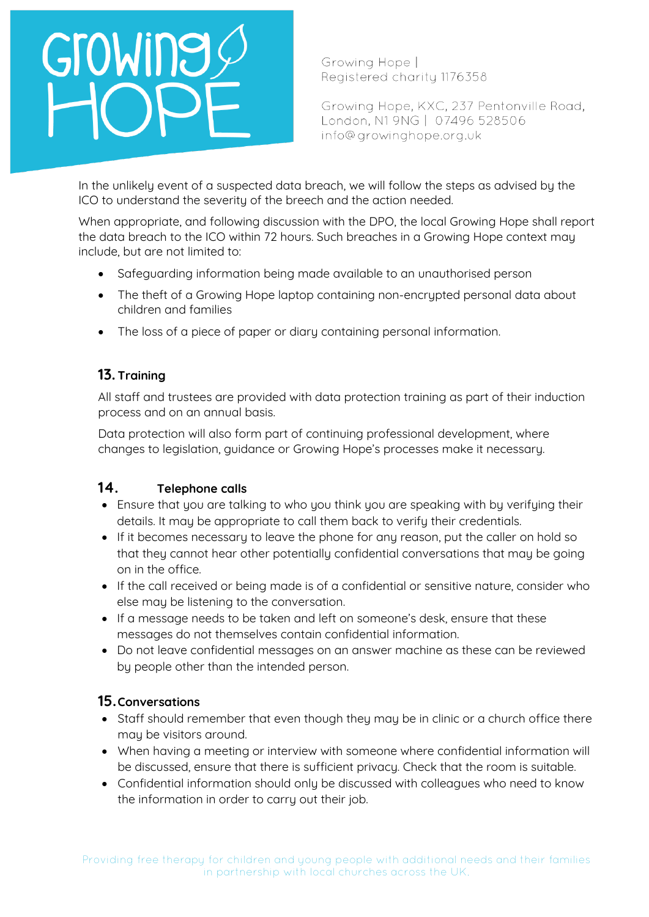Growing Hope | Registered charity 1176358

Growing Hope, KXC, 237 Pentonville Road, London, N1 9NG | 07496 528506 info@growinghope.org.uk

In the unlikely event of a suspected data breach, we will follow the steps as advised by the ICO to understand the severity of the breech and the action needed.

When appropriate, and following discussion with the DPO, the local Growing Hope shall report the data breach to the ICO within 72 hours. Such breaches in a Growing Hope context may include, but are not limited to:

- Safeguarding information being made available to an unauthorised person
- The theft of a Growing Hope laptop containing non-encrupted personal data about children and families
- The loss of a piece of paper or diary containing personal information.

### **13. Training**

All staff and trustees are provided with data protection training as part of their induction process and on an annual basis.

Data protection will also form part of continuing professional development, where changes to legislation, guidance or Growing Hope's processes make it necessary.

### **14. Telephone calls**

- Ensure that you are talking to who you think you are speaking with by verifying their details. It may be appropriate to call them back to verify their credentials.
- If it becomes necessary to leave the phone for any reason, put the caller on hold so that they cannot hear other potentially confidential conversations that may be going on in the office.
- If the call received or being made is of a confidential or sensitive nature, consider who else may be listening to the conversation.
- If a message needs to be taken and left on someone's desk, ensure that these messages do not themselves contain confidential information.
- Do not leave confidential messages on an answer machine as these can be reviewed by people other than the intended person.

### **15.Conversations**

- Staff should remember that even though they may be in clinic or a church office there may be visitors around.
- When having a meeting or interview with someone where confidential information will be discussed, ensure that there is sufficient privacy. Check that the room is suitable.
- Confidential information should only be discussed with colleagues who need to know the information in order to carry out their job.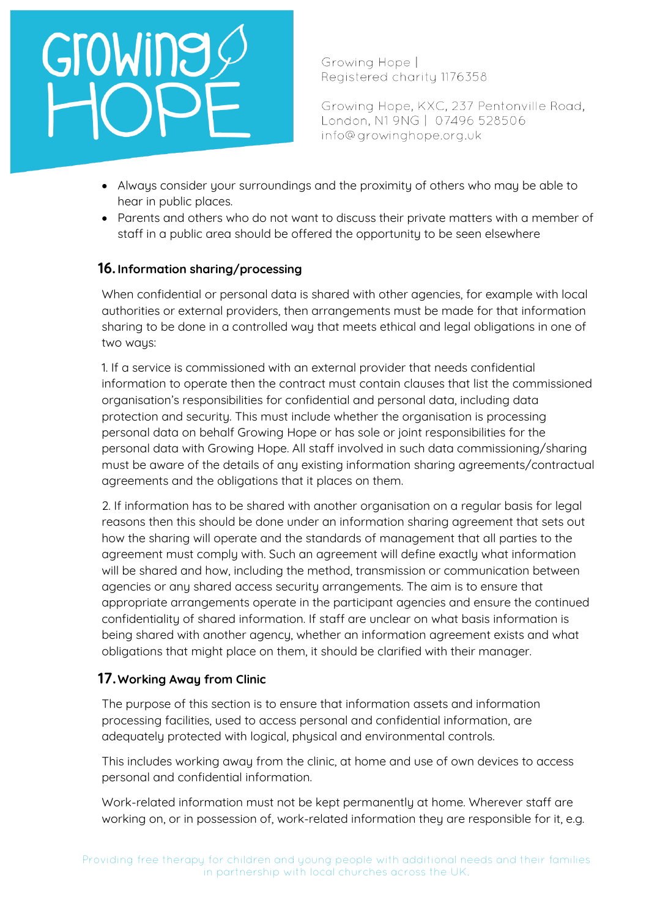Growing Hope | Registered charity 1176358

Growing Hope, KXC, 237 Pentonville Road, London, N1 9NG | 07496 528506 info@growinghope.org.uk

- Alwaus consider your surroundings and the proximity of others who may be able to hear in public places.
- Parents and others who do not want to discuss their private matters with a member of staff in a public area should be offered the opportunity to be seen elsewhere

### **16. Information sharing/processing**

When confidential or personal data is shared with other agencies, for example with local authorities or external providers, then arrangements must be made for that information sharing to be done in a controlled way that meets ethical and legal obligations in one of two ways:

1. If a service is commissioned with an external provider that needs confidential information to operate then the contract must contain clauses that list the commissioned organisation's responsibilities for confidential and personal data, including data protection and security. This must include whether the organisation is processing personal data on behalf Growing Hope or has sole or joint responsibilities for the personal data with Growing Hope. All staff involved in such data commissioning/sharing must be aware of the details of any existing information sharing agreements/contractual agreements and the obligations that it places on them.

2. If information has to be shared with another organisation on a regular basis for legal reasons then this should be done under an information sharing agreement that sets out how the sharing will operate and the standards of management that all parties to the agreement must comply with. Such an agreement will define exactly what information will be shared and how, including the method, transmission or communication between agencies or any shared access security arrangements. The aim is to ensure that appropriate arrangements operate in the participant agencies and ensure the continued confidentiality of shared information. If staff are unclear on what basis information is being shared with another agency, whether an information agreement exists and what obligations that might place on them, it should be clarified with their manager.

### **17.Working Away from Clinic**

The purpose of this section is to ensure that information assets and information processing facilities, used to access personal and confidential information, are adequately protected with logical, physical and environmental controls.

This includes working away from the clinic, at home and use of own devices to access personal and confidential information.

Work-related information must not be kept permanently at home. Wherever staff are working on, or in possession of, work-related information they are responsible for it, e.g.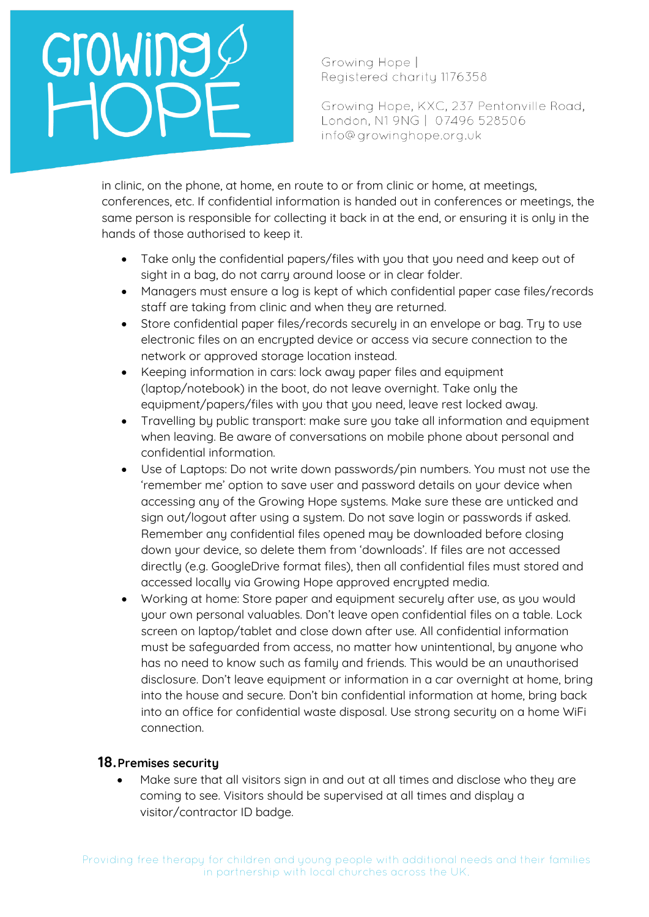Growing Hope | Registered charity 1176358

Growing Hope, KXC, 237 Pentonville Road, London, N1 9NG | 07496 528506 info@growinghope.org.uk

in clinic, on the phone, at home, en route to or from clinic or home, at meetings, conferences, etc. If confidential information is handed out in conferences or meetings, the same person is responsible for collecting it back in at the end, or ensuring it is only in the hands of those authorised to keep it.

- Take only the confidential papers/files with you that you need and keep out of sight in a bag, do not carry around loose or in clear folder.
- Managers must ensure a log is kept of which confidential paper case files/records staff are taking from clinic and when they are returned.
- Store confidential paper files/records securely in an envelope or bag. Try to use electronic files on an encrypted device or access via secure connection to the network or approved storage location instead.
- Keeping information in cars: lock away paper files and equipment (laptop/notebook) in the boot, do not leave overnight. Take only the equipment/papers/files with you that you need, leave rest locked away.
- Travelling by public transport: make sure you take all information and equipment when leaving. Be aware of conversations on mobile phone about personal and confidential information.
- Use of Laptops: Do not write down passwords/pin numbers. You must not use the 'remember me' option to save user and password details on your device when accessing any of the Growing Hope systems. Make sure these are unticked and sign out/logout after using a system. Do not save login or passwords if asked. Remember any confidential files opened may be downloaded before closing down your device, so delete them from 'downloads'. If files are not accessed directly (e.g. GoogleDrive format files), then all confidential files must stored and accessed locally via Growing Hope approved encrypted media.
- Working at home: Store paper and equipment securely after use, as you would your own personal valuables. Don't leave open confidential files on a table. Lock screen on laptop/tablet and close down after use. All confidential information must be safeguarded from access, no matter how unintentional, by anyone who has no need to know such as family and friends. This would be an unauthorised disclosure. Don't leave equipment or information in a car overnight at home, bring into the house and secure. Don't bin confidential information at home, bring back into an office for confidential waste disposal. Use strong security on a home WiFi connection.

### **18.Premises security**

Make sure that all visitors sign in and out at all times and disclose who they are coming to see. Visitors should be supervised at all times and display a visitor/contractor ID badge.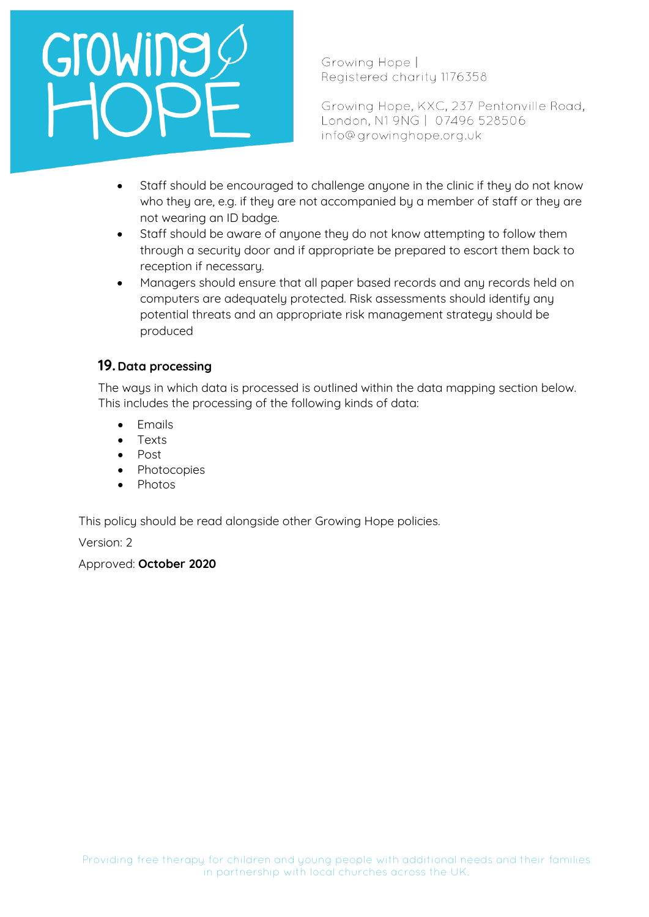Growing Hope | Registered charity 1176358

Growing Hope, KXC, 237 Pentonville Road, London, N1 9NG | 07496 528506 info@growinghope.org.uk

- Staff should be encouraged to challenge anyone in the clinic if they do not know who they are, e.g. if they are not accompanied by a member of staff or they are not wearing an ID badge.
- Staff should be aware of anyone they do not know attempting to follow them through a security door and if appropriate be prepared to escort them back to reception if necessary.
- Managers should ensure that all paper based records and any records held on computers are adequately protected. Risk assessments should identify any potential threats and an appropriate risk management strategy should be produced

### **19. Data processing**

The ways in which data is processed is outlined within the data mapping section below. This includes the processing of the following kinds of data:

- Emails
- Texts
- Post
- **Photocopies**
- Photos

This policy should be read alongside other Growing Hope policies.

Version: 2

Approved: **October 2020**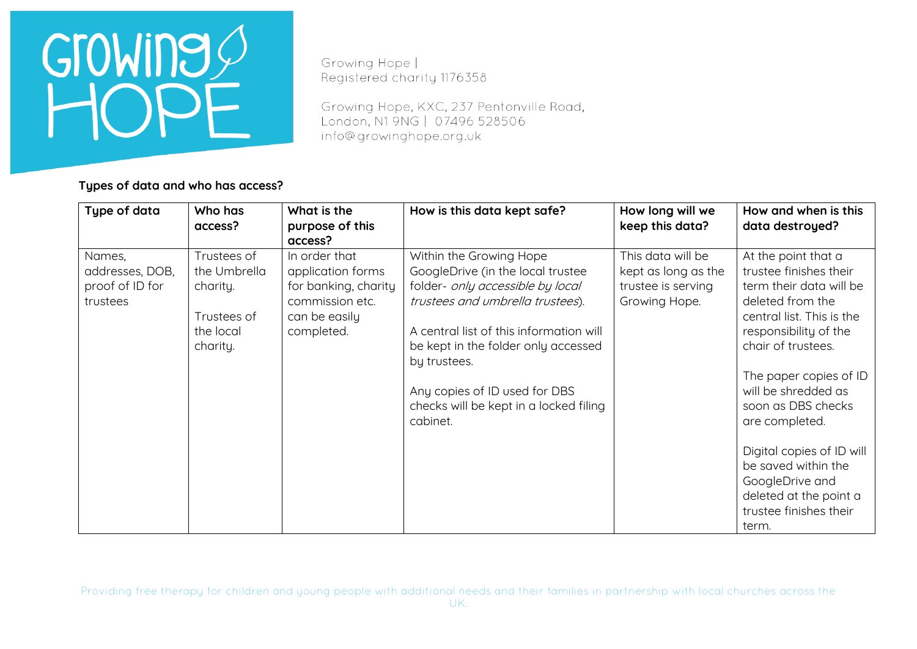

Growing Hope | Registered charity 1176358

Growing Hope, KXC, 237 Pentonville Road, London, N1 9NG | 07496 528506 info@growinghope.org.uk

**Types of data and who has access?**

| Type of data                                             | Who has<br>access?                                                              | What is the<br>purpose of this<br>access?                                                                    | How is this data kept safe?                                                                                                                                                                                                                                                                                                   | How long will we<br>keep this data?                                             | How and when is this<br>data destroyed?                                                                                                                                                                                                                                                                                                                                                               |
|----------------------------------------------------------|---------------------------------------------------------------------------------|--------------------------------------------------------------------------------------------------------------|-------------------------------------------------------------------------------------------------------------------------------------------------------------------------------------------------------------------------------------------------------------------------------------------------------------------------------|---------------------------------------------------------------------------------|-------------------------------------------------------------------------------------------------------------------------------------------------------------------------------------------------------------------------------------------------------------------------------------------------------------------------------------------------------------------------------------------------------|
| Names,<br>addresses, DOB,<br>proof of ID for<br>trustees | Trustees of<br>the Umbrella<br>charity.<br>Trustees of<br>the local<br>charity. | In order that<br>application forms<br>for banking, charity<br>commission etc.<br>can be easily<br>completed. | Within the Growing Hope<br>GoogleDrive (in the local trustee<br>folder- only accessible by local<br>trustees and umbrella trustees).<br>A central list of this information will<br>be kept in the folder only accessed<br>by trustees.<br>Any copies of ID used for DBS<br>checks will be kept in a locked filing<br>cabinet. | This data will be<br>kept as long as the<br>trustee is serving<br>Growing Hope. | At the point that a<br>trustee finishes their<br>term their data will be<br>deleted from the<br>central list. This is the<br>responsibility of the<br>chair of trustees.<br>The paper copies of ID<br>will be shredded as<br>soon as DBS checks<br>are completed.<br>Digital copies of ID will<br>be saved within the<br>GoogleDrive and<br>deleted at the point a<br>trustee finishes their<br>term. |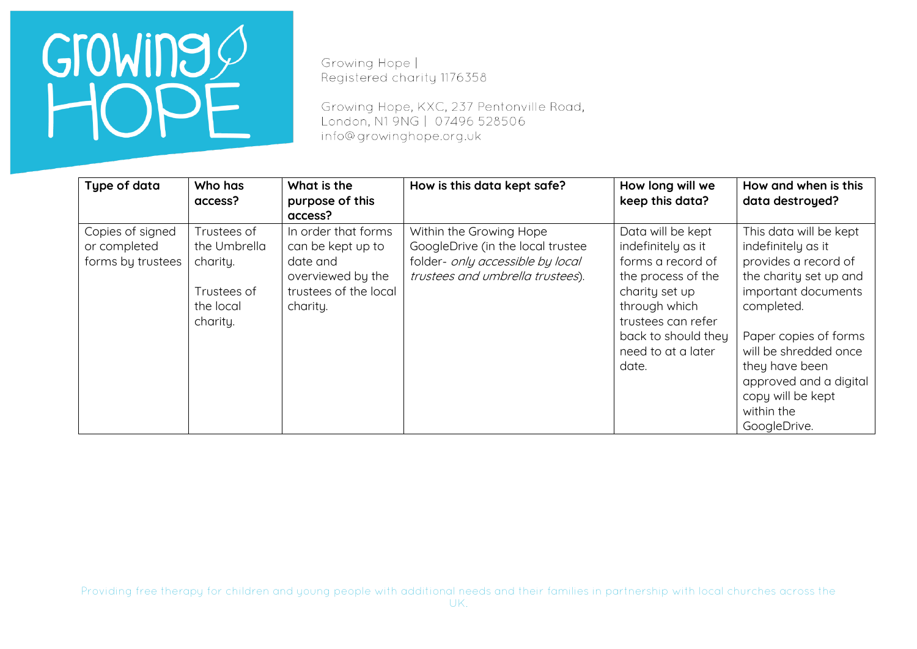Growing Hope | Registered charity 1176358

Growing Hope, KXC, 237 Pentonville Road, London, N1 9NG | 07496 528506 info@growinghope.org.uk

| Type of data                                          | Who has<br>access?                                                              | What is the<br>purpose of this<br>access?                                                                      | How is this data kept safe?                                                                                                          | How long will we<br>keep this data?                                                                                                                                                               | How and when is this<br>data destroyed?                                                                                                                                                                                                                                              |
|-------------------------------------------------------|---------------------------------------------------------------------------------|----------------------------------------------------------------------------------------------------------------|--------------------------------------------------------------------------------------------------------------------------------------|---------------------------------------------------------------------------------------------------------------------------------------------------------------------------------------------------|--------------------------------------------------------------------------------------------------------------------------------------------------------------------------------------------------------------------------------------------------------------------------------------|
| Copies of signed<br>or completed<br>forms by trustees | Trustees of<br>the Umbrella<br>charity.<br>Trustees of<br>the local<br>charity. | In order that forms<br>can be kept up to<br>date and<br>overviewed by the<br>trustees of the local<br>charity. | Within the Growing Hope<br>GoogleDrive (in the local trustee<br>folder- only accessible by local<br>trustees and umbrella trustees). | Data will be kept<br>indefinitely as it<br>forms a record of<br>the process of the<br>charity set up<br>through which<br>trustees can refer<br>back to should they<br>need to at a later<br>date. | This data will be kept<br>indefinitely as it<br>provides a record of<br>the charity set up and<br>important documents<br>completed.<br>Paper copies of forms<br>will be shredded once<br>they have been<br>approved and a digital<br>copy will be kept<br>within the<br>GoogleDrive. |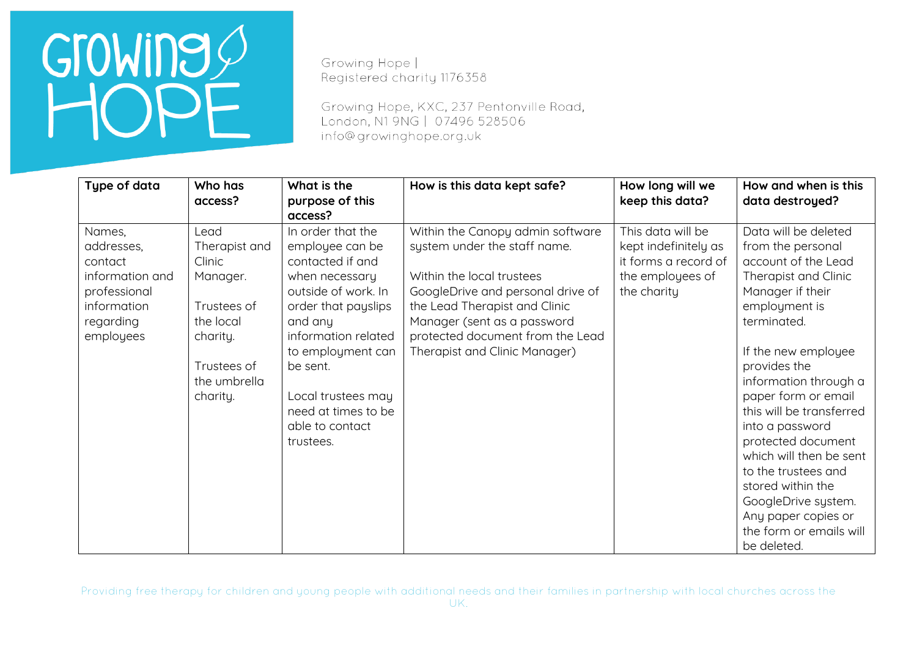Growing Hope | Registered charity 1176358

Growing Hope, KXC, 237 Pentonville Road, London, N1 9NG | 07496 528506 info@growinghope.org.uk

| Type of data                                                                                                | Who has<br>access?                                                                                                             | What is the<br>purpose of this<br>access?                                                                                                                                                                                                                                | How is this data kept safe?                                                                                                                                                                                                                                             | How long will we<br>keep this data?                                                                  | How and when is this<br>data destroyed?                                                                                                                                                                                                                                                                                                                                                                                                                                 |
|-------------------------------------------------------------------------------------------------------------|--------------------------------------------------------------------------------------------------------------------------------|--------------------------------------------------------------------------------------------------------------------------------------------------------------------------------------------------------------------------------------------------------------------------|-------------------------------------------------------------------------------------------------------------------------------------------------------------------------------------------------------------------------------------------------------------------------|------------------------------------------------------------------------------------------------------|-------------------------------------------------------------------------------------------------------------------------------------------------------------------------------------------------------------------------------------------------------------------------------------------------------------------------------------------------------------------------------------------------------------------------------------------------------------------------|
| Names,<br>addresses,<br>contact<br>information and<br>professional<br>information<br>regarding<br>employees | Lead<br>Therapist and<br>Clinic<br>Manager.<br>Trustees of<br>the local<br>charity.<br>Trustees of<br>the umbrella<br>charity. | In order that the<br>employee can be<br>contacted if and<br>when necessary<br>outside of work. In<br>order that payslips<br>and any<br>information related<br>to employment can<br>be sent.<br>Local trustees may<br>need at times to be<br>able to contact<br>trustees. | Within the Canopy admin software<br>system under the staff name.<br>Within the local trustees<br>GoogleDrive and personal drive of<br>the Lead Therapist and Clinic<br>Manager (sent as a password<br>protected document from the Lead<br>Therapist and Clinic Manager) | This data will be<br>kept indefinitely as<br>it forms a record of<br>the employees of<br>the charity | Data will be deleted<br>from the personal<br>account of the Lead<br>Therapist and Clinic<br>Manager if their<br>employment is<br>terminated.<br>If the new employee<br>provides the<br>information through a<br>paper form or email<br>this will be transferred<br>into a password<br>protected document<br>which will then be sent<br>to the trustees and<br>stored within the<br>GoogleDrive system.<br>Any paper copies or<br>the form or emails will<br>be deleted. |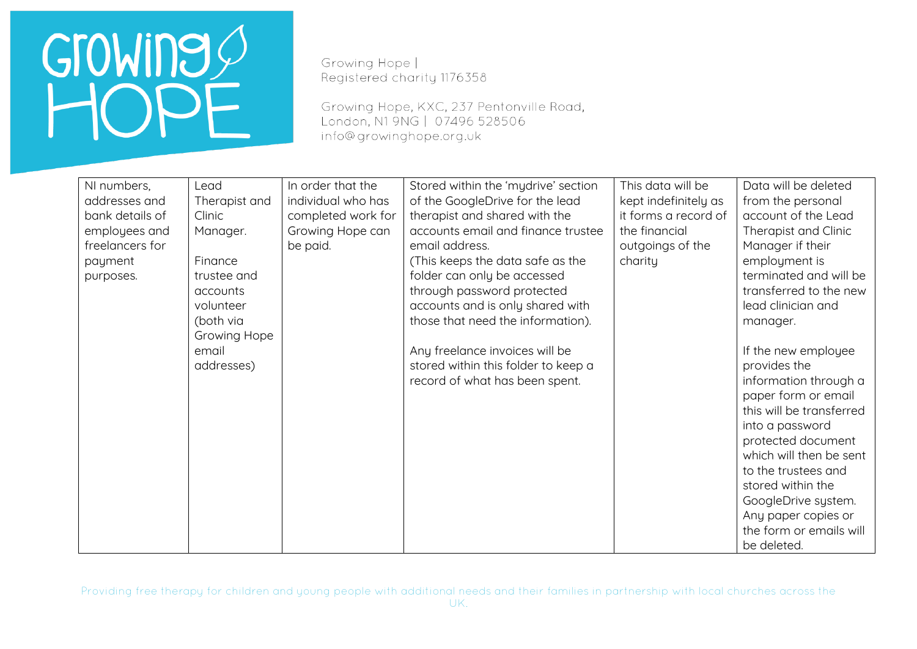Growing Hope | Registered charity 1176358

Growing Hope, KXC, 237 Pentonville Road, London, N1 9NG | 07496 528506 info@growinghope.org.uk

| NI numbers,     | Lead          | In order that the  | Stored within the 'mydrive' section | This data will be    | Data will be deleted     |
|-----------------|---------------|--------------------|-------------------------------------|----------------------|--------------------------|
| addresses and   | Therapist and | individual who has | of the GoogleDrive for the lead     | kept indefinitely as | from the personal        |
| bank details of | Clinic        | completed work for | therapist and shared with the       | it forms a record of | account of the Lead      |
| employees and   | Manager.      | Growing Hope can   | accounts email and finance trustee  | the financial        | Therapist and Clinic     |
| freelancers for |               | be paid.           | email address.                      | outgoings of the     | Manager if their         |
| payment         | Finance       |                    | (This keeps the data safe as the    | charity              | employment is            |
| purposes.       | trustee and   |                    | folder can only be accessed         |                      | terminated and will be   |
|                 | accounts      |                    | through password protected          |                      | transferred to the new   |
|                 | volunteer     |                    | accounts and is only shared with    |                      | lead clinician and       |
|                 | (both via     |                    | those that need the information).   |                      | manager.                 |
|                 | Growing Hope  |                    |                                     |                      |                          |
|                 | email         |                    | Any freelance invoices will be      |                      | If the new employee      |
|                 | addresses)    |                    | stored within this folder to keep a |                      | provides the             |
|                 |               |                    | record of what has been spent.      |                      | information through a    |
|                 |               |                    |                                     |                      | paper form or email      |
|                 |               |                    |                                     |                      | this will be transferred |
|                 |               |                    |                                     |                      | into a password          |
|                 |               |                    |                                     |                      | protected document       |
|                 |               |                    |                                     |                      | which will then be sent  |
|                 |               |                    |                                     |                      | to the trustees and      |
|                 |               |                    |                                     |                      | stored within the        |
|                 |               |                    |                                     |                      | GoogleDrive system.      |
|                 |               |                    |                                     |                      | Any paper copies or      |
|                 |               |                    |                                     |                      | the form or emails will  |
|                 |               |                    |                                     |                      | be deleted.              |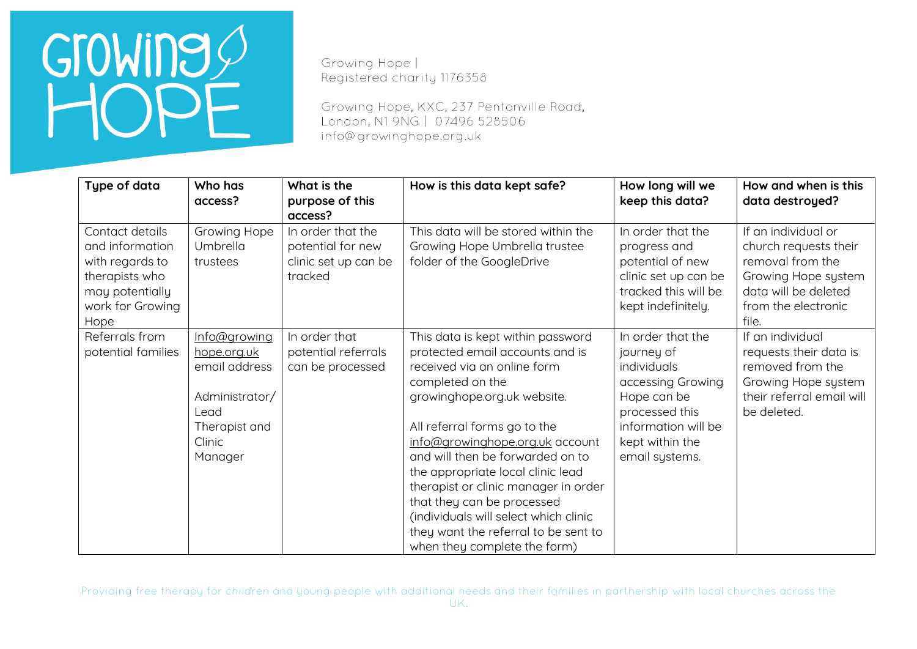Growing Hope | Registered charity 1176358

Growing Hope, KXC, 237 Pentonville Road, London, N1 9NG | 07496 528506 info@growinghope.org.uk

| Type of data                                                                                                           | Who has<br>access?                                                                                           | What is the<br>purpose of this<br>access?                                 | How is this data kept safe?                                                                                                                                                                                                                                                                                                                                                                                                                                                               | How long will we<br>keep this data?                                                                                                                              | How and when is this<br>data destroyed?                                                                                                         |
|------------------------------------------------------------------------------------------------------------------------|--------------------------------------------------------------------------------------------------------------|---------------------------------------------------------------------------|-------------------------------------------------------------------------------------------------------------------------------------------------------------------------------------------------------------------------------------------------------------------------------------------------------------------------------------------------------------------------------------------------------------------------------------------------------------------------------------------|------------------------------------------------------------------------------------------------------------------------------------------------------------------|-------------------------------------------------------------------------------------------------------------------------------------------------|
| Contact details<br>and information<br>with regards to<br>therapists who<br>may potentially<br>work for Growing<br>Hope | Growing Hope<br>Umbrella<br>trustees                                                                         | In order that the<br>potential for new<br>clinic set up can be<br>tracked | This data will be stored within the<br>Growing Hope Umbrella trustee<br>folder of the GoogleDrive                                                                                                                                                                                                                                                                                                                                                                                         | In order that the<br>progress and<br>potential of new<br>clinic set up can be<br>tracked this will be<br>kept indefinitely.                                      | If an individual or<br>church requests their<br>removal from the<br>Growing Hope system<br>data will be deleted<br>from the electronic<br>file. |
| Referrals from<br>potential families                                                                                   | Info@growing<br>hope.org.uk<br>email address<br>Administrator/<br>Lead<br>Therapist and<br>Clinic<br>Manager | In order that<br>potential referrals<br>can be processed                  | This data is kept within password<br>protected email accounts and is<br>received via an online form<br>completed on the<br>growinghope.org.uk website.<br>All referral forms go to the<br>info@growinghope.org.uk account<br>and will then be forwarded on to<br>the appropriate local clinic lead<br>therapist or clinic manager in order<br>that they can be processed<br>(individuals will select which clinic<br>they want the referral to be sent to<br>when they complete the form) | In order that the<br>journey of<br>individuals<br>accessing Growing<br>Hope can be<br>processed this<br>information will be<br>kept within the<br>email systems. | If an individual<br>requests their data is<br>removed from the<br>Growing Hope system<br>their referral email will<br>be deleted.               |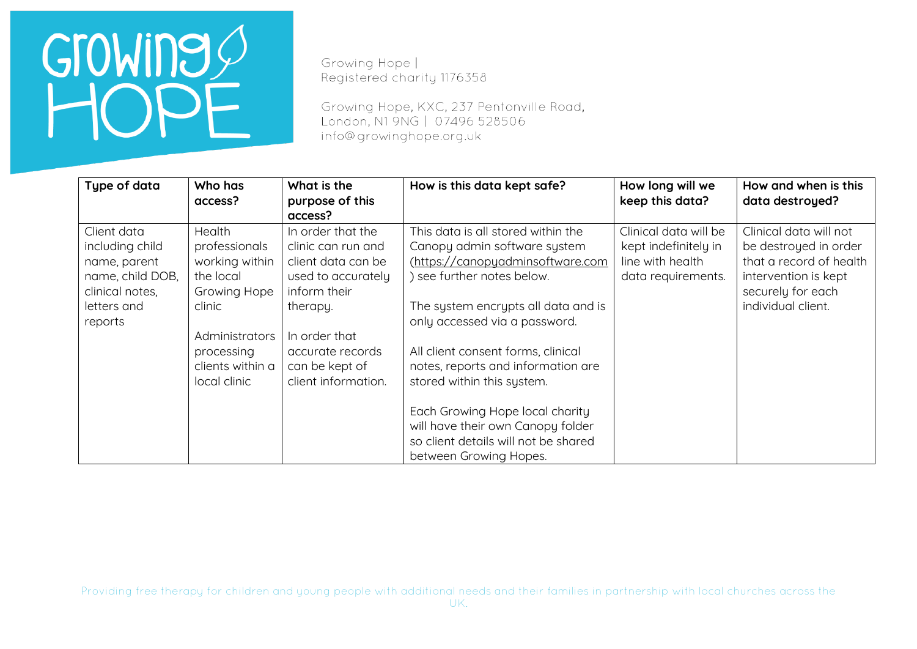Growing Hope | Registered charity 1176358

Growing Hope, KXC, 237 Pentonville Road, London, N1 9NG | 07496 528506 info@growinghope.org.uk

| Type of data                                                                                                    | Who has<br>access?                                                                                                                                                        | What is the<br>purpose of this<br>access?                                                                                                                                                     | How is this data kept safe?                                                                                                                                                                                                                                                                                                                                                                                                                                      | How long will we<br>keep this data?                                                     | How and when is this<br>data destroyed?                                                                                                       |
|-----------------------------------------------------------------------------------------------------------------|---------------------------------------------------------------------------------------------------------------------------------------------------------------------------|-----------------------------------------------------------------------------------------------------------------------------------------------------------------------------------------------|------------------------------------------------------------------------------------------------------------------------------------------------------------------------------------------------------------------------------------------------------------------------------------------------------------------------------------------------------------------------------------------------------------------------------------------------------------------|-----------------------------------------------------------------------------------------|-----------------------------------------------------------------------------------------------------------------------------------------------|
| Client data<br>including child<br>name, parent<br>name, child DOB,<br>clinical notes,<br>letters and<br>reports | <b>Health</b><br>professionals<br>working within<br>the local<br><b>Growing Hope</b><br>clinic<br><b>Administrators</b><br>processing<br>clients within a<br>local clinic | In order that the<br>clinic can run and<br>client data can be<br>used to accurately<br>inform their<br>therapy.<br>In order that<br>accurate records<br>can be kept of<br>client information. | This data is all stored within the<br>Canopy admin software system<br>(https://canopyadminsoftware.com<br>) see further notes below.<br>The system encrypts all data and is<br>only accessed via a password.<br>All client consent forms, clinical<br>notes, reports and information are<br>stored within this system.<br>Each Growing Hope local charity<br>will have their own Canopy folder<br>so client details will not be shared<br>between Growing Hopes. | Clinical data will be<br>kept indefinitely in<br>line with health<br>data requirements. | Clinical data will not<br>be destroyed in order<br>that a record of health<br>intervention is kept<br>securely for each<br>individual client. |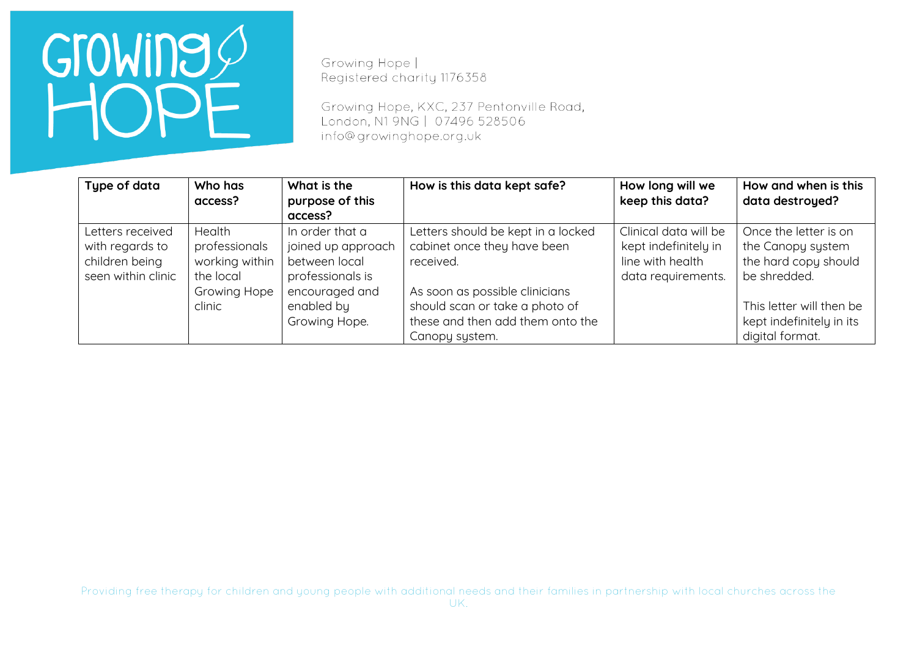Growing Hope | Registered charity 1176358

Growing Hope, KXC, 237 Pentonville Road, London, N1 9NG | 07496 528506 info@growinghope.org.uk

| Type of data                                                                | Who has<br>access?                                                               | What is the<br>purpose of this<br>access?                                                                                   | How is this data kept safe?                                                                                                                                                            | How long will we<br>keep this data?                                                     | How and when is this<br>data destroyed?                                                                                                    |
|-----------------------------------------------------------------------------|----------------------------------------------------------------------------------|-----------------------------------------------------------------------------------------------------------------------------|----------------------------------------------------------------------------------------------------------------------------------------------------------------------------------------|-----------------------------------------------------------------------------------------|--------------------------------------------------------------------------------------------------------------------------------------------|
| Letters received<br>with regards to<br>children being<br>seen within clinic | Health<br>professionals<br>working within<br>the local<br>Growing Hope<br>clinic | In order that a<br>joined up approach<br>between local<br>professionals is<br>encouraged and<br>enabled by<br>Growing Hope. | Letters should be kept in a locked<br>cabinet once they have been<br>received.<br>As soon as possible clinicians<br>should scan or take a photo of<br>these and then add them onto the | Clinical data will be<br>kept indefinitely in<br>line with health<br>data requirements. | Once the letter is on<br>the Canopy system<br>the hard copy should<br>be shredded.<br>This letter will then be<br>kept indefinitely in its |
|                                                                             |                                                                                  |                                                                                                                             | Canopy system.                                                                                                                                                                         |                                                                                         | digital format.                                                                                                                            |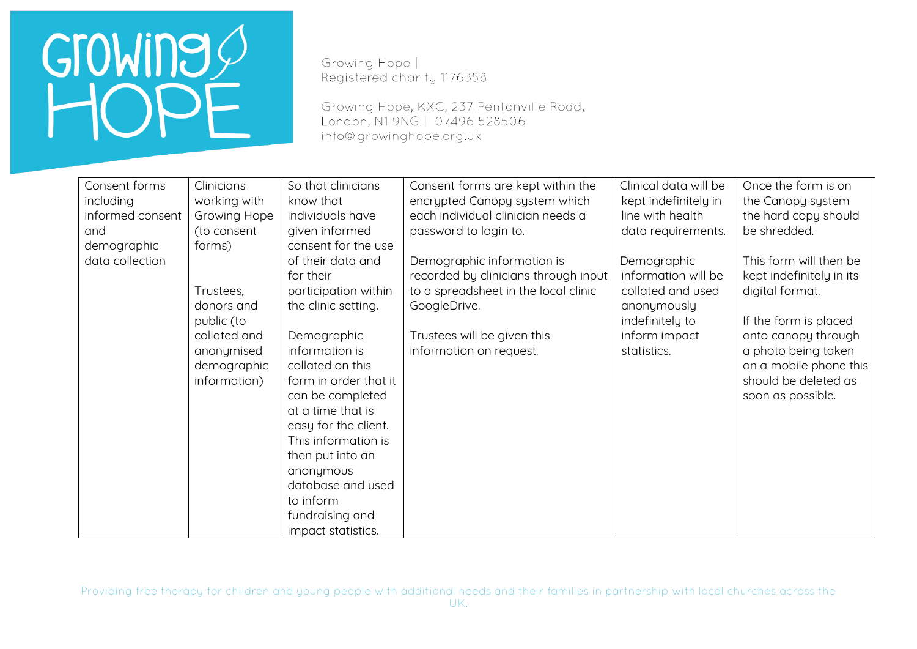Growing Hope | Registered charity 1176358

Growing Hope, KXC, 237 Pentonville Road, London, N1 9NG | 07496 528506 info@growinghope.org.uk

| Consent forms    | Clinicians          | So that clinicians    | Consent forms are kept within the    | Clinical data will be | Once the form is on      |
|------------------|---------------------|-----------------------|--------------------------------------|-----------------------|--------------------------|
| including        | working with        | know that             | encrypted Canopy system which        | kept indefinitely in  | the Canopy system        |
| informed consent | <b>Growing Hope</b> | individuals have      | each individual clinician needs a    | line with health      | the hard copy should     |
| and              | (to consent         | given informed        | password to login to.                | data requirements.    | be shredded.             |
| demographic      | forms)              | consent for the use   |                                      |                       |                          |
| data collection  |                     | of their data and     | Demographic information is           | Demographic           | This form will then be   |
|                  |                     | for their             | recorded by clinicians through input | information will be   | kept indefinitely in its |
|                  | Trustees,           | participation within  | to a spreadsheet in the local clinic | collated and used     | digital format.          |
|                  | donors and          | the clinic setting.   | GoogleDrive.                         | anonymously           |                          |
|                  | public (to          |                       |                                      | indefinitely to       | If the form is placed    |
|                  | collated and        | Demographic           | Trustees will be given this          | inform impact         | onto canopy through      |
|                  | anonymised          | information is        | information on request.              | statistics.           | a photo being taken      |
|                  | demographic         | collated on this      |                                      |                       | on a mobile phone this   |
|                  | information)        | form in order that it |                                      |                       | should be deleted as     |
|                  |                     | can be completed      |                                      |                       | soon as possible.        |
|                  |                     | at a time that is     |                                      |                       |                          |
|                  |                     | easy for the client.  |                                      |                       |                          |
|                  |                     | This information is   |                                      |                       |                          |
|                  |                     | then put into an      |                                      |                       |                          |
|                  |                     | anonymous             |                                      |                       |                          |
|                  |                     | database and used     |                                      |                       |                          |
|                  |                     | to inform             |                                      |                       |                          |
|                  |                     | fundraising and       |                                      |                       |                          |
|                  |                     | impact statistics.    |                                      |                       |                          |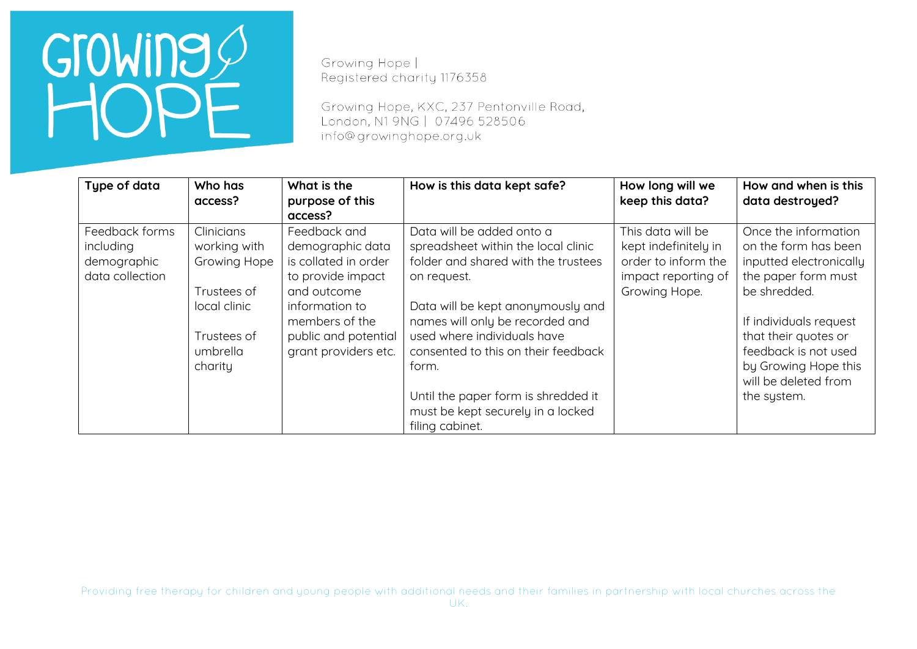Growing Hope | Registered charity 1176358

Growing Hope, KXC, 237 Pentonville Road, London, N1 9NG | 07496 528506 info@growinghope.org.uk

| Type of data                                                  | Who has<br>access?                                                                                                     | What is the<br>purpose of this<br>access?                                                                                                                                        | How is this data kept safe?                                                                                                                                                                                                                                                                                                                                                  | How long will we<br>keep this data?                                                                      | How and when is this<br>data destroyed?                                                                                                                                                                                                                 |
|---------------------------------------------------------------|------------------------------------------------------------------------------------------------------------------------|----------------------------------------------------------------------------------------------------------------------------------------------------------------------------------|------------------------------------------------------------------------------------------------------------------------------------------------------------------------------------------------------------------------------------------------------------------------------------------------------------------------------------------------------------------------------|----------------------------------------------------------------------------------------------------------|---------------------------------------------------------------------------------------------------------------------------------------------------------------------------------------------------------------------------------------------------------|
| Feedback forms<br>including<br>demographic<br>data collection | Clinicians<br>working with<br><b>Growing Hope</b><br>Trustees of<br>local clinic<br>Trustees of<br>umbrella<br>charity | Feedback and<br>demographic data<br>is collated in order<br>to provide impact<br>and outcome<br>information to<br>members of the<br>public and potential<br>grant providers etc. | Data will be added onto a<br>spreadsheet within the local clinic<br>folder and shared with the trustees<br>on request.<br>Data will be kept anonymously and<br>names will only be recorded and<br>used where individuals have<br>consented to this on their feedback<br>form.<br>Until the paper form is shredded it<br>must be kept securely in a locked<br>filing cabinet. | This data will be<br>kept indefinitely in<br>order to inform the<br>impact reporting of<br>Growing Hope. | Once the information<br>on the form has been<br>inputted electronically<br>the paper form must<br>be shredded.<br>If individuals request<br>that their quotes or<br>feedback is not used<br>by Growing Hope this<br>will be deleted from<br>the system. |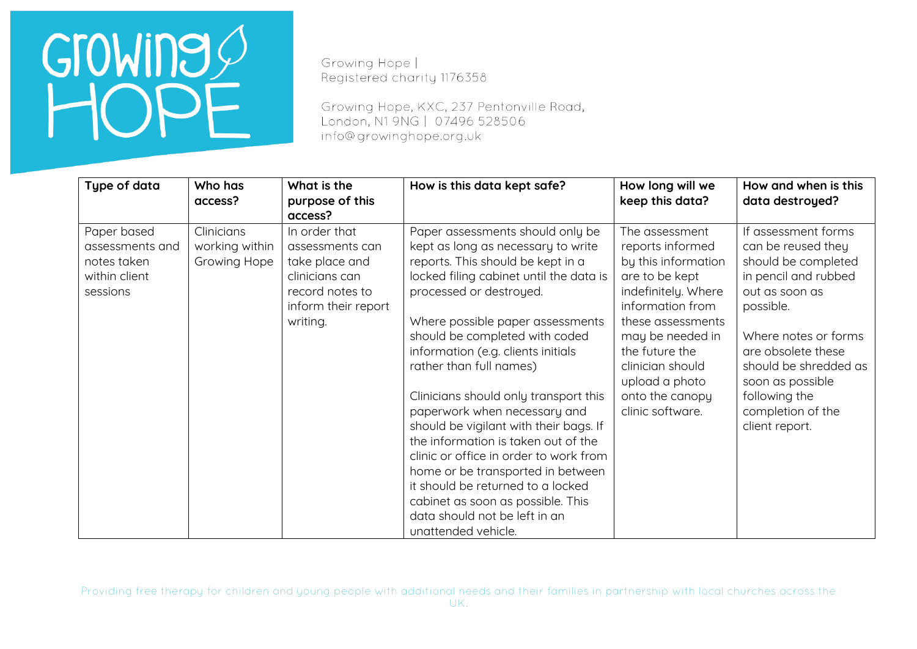Growing Hope | Registered charity 1176358

Growing Hope, KXC, 237 Pentonville Road, London, N1 9NG | 07496 528506 info@growinghope.org.uk

| Type of data                                                               | Who has<br>access?                           | What is the<br>purpose of this                                                                                             | How is this data kept safe?                                                                                                                                                                                                                                                                                                                                                                                                                                                                                                                                                                                                                                                                         | How long will we<br>keep this data?                                                                                                                                                                                                                            | How and when is this<br>data destroyed?                                                                                                                                                                                                                                    |
|----------------------------------------------------------------------------|----------------------------------------------|----------------------------------------------------------------------------------------------------------------------------|-----------------------------------------------------------------------------------------------------------------------------------------------------------------------------------------------------------------------------------------------------------------------------------------------------------------------------------------------------------------------------------------------------------------------------------------------------------------------------------------------------------------------------------------------------------------------------------------------------------------------------------------------------------------------------------------------------|----------------------------------------------------------------------------------------------------------------------------------------------------------------------------------------------------------------------------------------------------------------|----------------------------------------------------------------------------------------------------------------------------------------------------------------------------------------------------------------------------------------------------------------------------|
|                                                                            |                                              | access?                                                                                                                    |                                                                                                                                                                                                                                                                                                                                                                                                                                                                                                                                                                                                                                                                                                     |                                                                                                                                                                                                                                                                |                                                                                                                                                                                                                                                                            |
| Paper based<br>assessments and<br>notes taken<br>within client<br>sessions | Clinicians<br>working within<br>Growing Hope | In order that<br>assessments can<br>take place and<br>clinicians can<br>record notes to<br>inform their report<br>writing. | Paper assessments should only be<br>kept as long as necessary to write<br>reports. This should be kept in a<br>locked filing cabinet until the data is<br>processed or destroyed.<br>Where possible paper assessments<br>should be completed with coded<br>information (e.g. clients initials<br>rather than full names)<br>Clinicians should only transport this<br>paperwork when necessary and<br>should be vigilant with their bags. If<br>the information is taken out of the<br>clinic or office in order to work from<br>home or be transported in between<br>it should be returned to a locked<br>cabinet as soon as possible. This<br>data should not be left in an<br>unattended vehicle. | The assessment<br>reports informed<br>by this information<br>are to be kept<br>indefinitely. Where<br>information from<br>these assessments<br>may be needed in<br>the future the<br>clinician should<br>upload a photo<br>onto the canopy<br>clinic software. | If assessment forms<br>can be reused they<br>should be completed<br>in pencil and rubbed<br>out as soon as<br>possible.<br>Where notes or forms<br>are obsolete these<br>should be shredded as<br>soon as possible<br>following the<br>completion of the<br>client report. |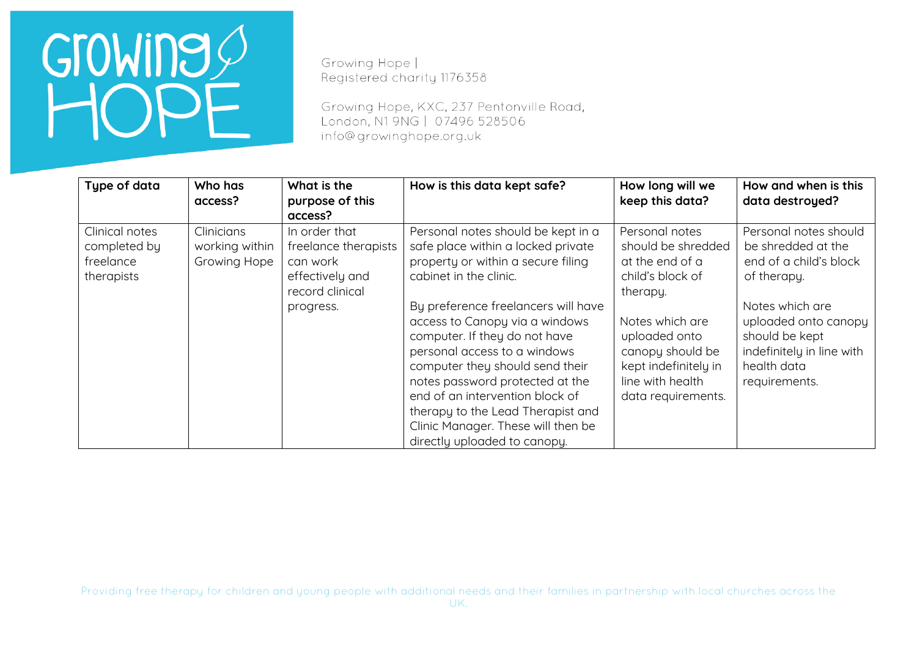Growing Hope | Registered charity 1176358

Growing Hope, KXC, 237 Pentonville Road, London, N1 9NG | 07496 528506 info@growinghope.org.uk

| Type of data                                              | Who has<br>access?                           | What is the<br>purpose of this<br>access?                                                            | How is this data kept safe?                                                                                                                                                                                                                                                                                                                                                                                                                                                                            | How long will we<br>keep this data?                                                                                                                                                                               | How and when is this<br>data destroyed?                                                                                                                                                                        |
|-----------------------------------------------------------|----------------------------------------------|------------------------------------------------------------------------------------------------------|--------------------------------------------------------------------------------------------------------------------------------------------------------------------------------------------------------------------------------------------------------------------------------------------------------------------------------------------------------------------------------------------------------------------------------------------------------------------------------------------------------|-------------------------------------------------------------------------------------------------------------------------------------------------------------------------------------------------------------------|----------------------------------------------------------------------------------------------------------------------------------------------------------------------------------------------------------------|
| Clinical notes<br>completed by<br>freelance<br>therapists | Clinicians<br>working within<br>Growing Hope | In order that<br>freelance therapists<br>can work<br>effectively and<br>record clinical<br>progress. | Personal notes should be kept in a<br>safe place within a locked private<br>property or within a secure filing<br>cabinet in the clinic.<br>By preference freelancers will have<br>access to Canopy via a windows<br>computer. If they do not have<br>personal access to a windows<br>computer they should send their<br>notes password protected at the<br>end of an intervention block of<br>therapy to the Lead Therapist and<br>Clinic Manager. These will then be<br>directly uploaded to canopy. | Personal notes<br>should be shredded<br>at the end of a<br>child's block of<br>therapy.<br>Notes which are<br>uploaded onto<br>canopy should be<br>kept indefinitely in<br>line with health<br>data requirements. | Personal notes should<br>be shredded at the<br>end of a child's block<br>of therapy.<br>Notes which are<br>uploaded onto canopy<br>should be kept<br>indefinitely in line with<br>health data<br>requirements. |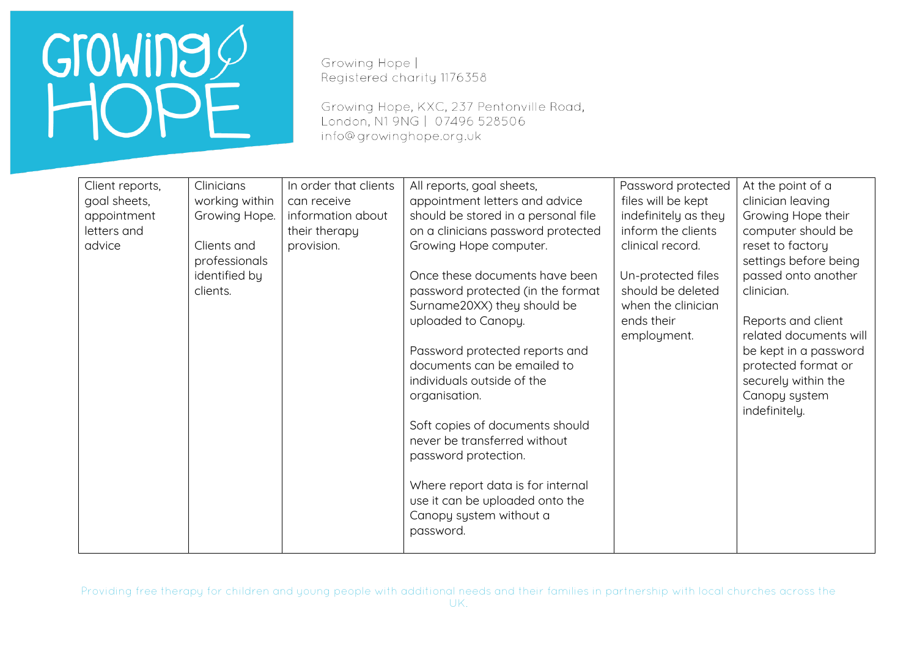Growing Hope | Registered charity 1176358

Growing Hope, KXC, 237 Pentonville Road, London, N1 9NG | 07496 528506 info@growinghope.org.uk

| Client reports, | Clinicians     | In order that clients | All reports, goal sheets,           | Password protected   | At the point of a      |
|-----------------|----------------|-----------------------|-------------------------------------|----------------------|------------------------|
| goal sheets,    | working within | can receive           | appointment letters and advice      | files will be kept   | clinician leaving      |
| appointment     | Growing Hope.  | information about     | should be stored in a personal file | indefinitely as they | Growing Hope their     |
| letters and     |                | their therapy         | on a clinicians password protected  | inform the clients   | computer should be     |
| advice          | Clients and    | provision.            | Growing Hope computer.              | clinical record.     | reset to factory       |
|                 | professionals  |                       |                                     |                      | settings before being  |
|                 | identified by  |                       | Once these documents have been      | Un-protected files   | passed onto another    |
|                 | clients.       |                       | password protected (in the format   | should be deleted    | clinician.             |
|                 |                |                       | Surname20XX) they should be         | when the clinician   |                        |
|                 |                |                       | uploaded to Canopy.                 | ends their           | Reports and client     |
|                 |                |                       |                                     | employment.          | related documents will |
|                 |                |                       | Password protected reports and      |                      | be kept in a password  |
|                 |                |                       | documents can be emailed to         |                      | protected format or    |
|                 |                |                       | individuals outside of the          |                      | securely within the    |
|                 |                |                       | organisation.                       |                      | Canopy system          |
|                 |                |                       |                                     |                      | indefinitely.          |
|                 |                |                       | Soft copies of documents should     |                      |                        |
|                 |                |                       | never be transferred without        |                      |                        |
|                 |                |                       | password protection.                |                      |                        |
|                 |                |                       |                                     |                      |                        |
|                 |                |                       | Where report data is for internal   |                      |                        |
|                 |                |                       | use it can be uploaded onto the     |                      |                        |
|                 |                |                       | Canopy system without a             |                      |                        |
|                 |                |                       | password.                           |                      |                        |
|                 |                |                       |                                     |                      |                        |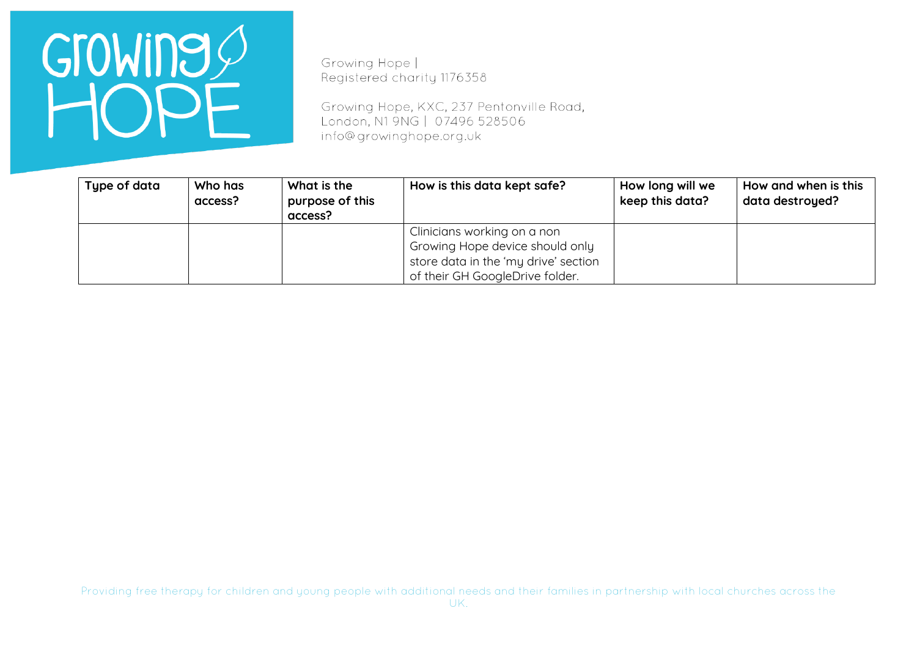

Growing Hope | Registered charity 1176358

Growing Hope, KXC, 237 Pentonville Road, London, N1 9NG | 07496 528506 info@growinghope.org.uk

| Type of data | Who has<br>access? | What is the<br>purpose of this<br>access? | How is this data kept safe?                                                                                                               | How long will we<br>keep this data? | How and when is this<br>data destroyed? |
|--------------|--------------------|-------------------------------------------|-------------------------------------------------------------------------------------------------------------------------------------------|-------------------------------------|-----------------------------------------|
|              |                    |                                           | Clinicians working on a non<br>Growing Hope device should only<br>store data in the 'my drive' section<br>of their GH GoogleDrive folder. |                                     |                                         |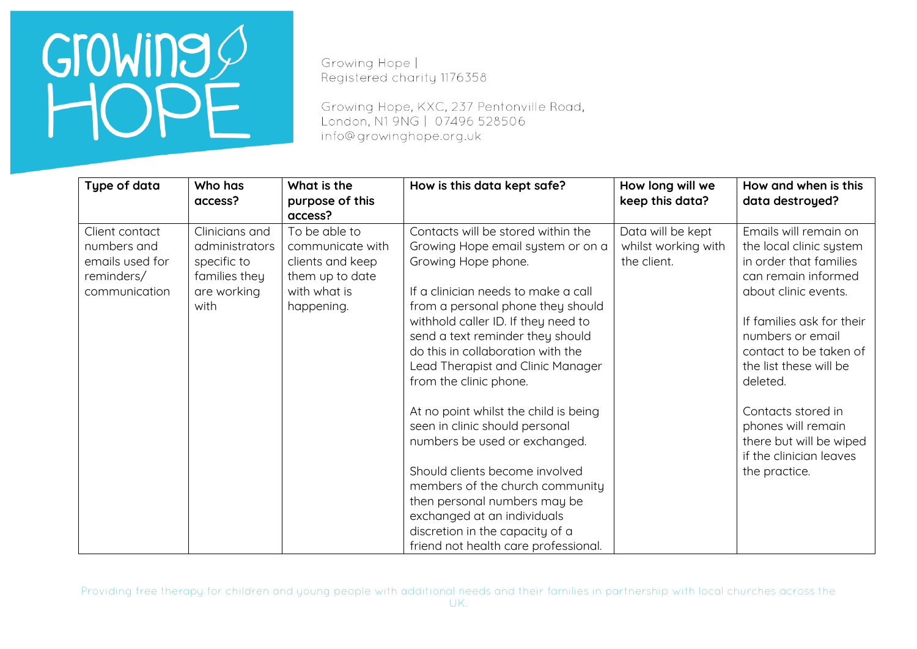Growing Hope | Registered charity 1176358

Growing Hope, KXC, 237 Pentonville Road, London, N1 9NG | 07496 528506 info@growinghope.org.uk

| Type of data                                                                    | Who has<br>access?                                                                      | What is the<br>purpose of this<br>access?                                                              | How is this data kept safe?                                                                                                                                                                                                                                                                                                                               | How long will we<br>keep this data?                     | How and when is this<br>data destroyed?                                                                                                                                                                                                    |
|---------------------------------------------------------------------------------|-----------------------------------------------------------------------------------------|--------------------------------------------------------------------------------------------------------|-----------------------------------------------------------------------------------------------------------------------------------------------------------------------------------------------------------------------------------------------------------------------------------------------------------------------------------------------------------|---------------------------------------------------------|--------------------------------------------------------------------------------------------------------------------------------------------------------------------------------------------------------------------------------------------|
| Client contact<br>numbers and<br>emails used for<br>reminders/<br>communication | Clinicians and<br>administrators<br>specific to<br>families they<br>are working<br>with | To be able to<br>communicate with<br>clients and keep<br>them up to date<br>with what is<br>happening. | Contacts will be stored within the<br>Growing Hope email system or on a<br>Growing Hope phone.<br>If a clinician needs to make a call<br>from a personal phone they should<br>withhold caller ID. If they need to<br>send a text reminder they should<br>do this in collaboration with the<br>Lead Therapist and Clinic Manager<br>from the clinic phone. | Data will be kept<br>whilst working with<br>the client. | Emails will remain on<br>the local clinic system<br>in order that families<br>can remain informed<br>about clinic events.<br>If families ask for their<br>numbers or email<br>contact to be taken of<br>the list these will be<br>deleted. |
|                                                                                 |                                                                                         |                                                                                                        | At no point whilst the child is being<br>seen in clinic should personal<br>numbers be used or exchanged.<br>Should clients become involved<br>members of the church community<br>then personal numbers may be<br>exchanged at an individuals<br>discretion in the capacity of a<br>friend not health care professional.                                   |                                                         | Contacts stored in<br>phones will remain<br>there but will be wiped<br>if the clinician leaves<br>the practice.                                                                                                                            |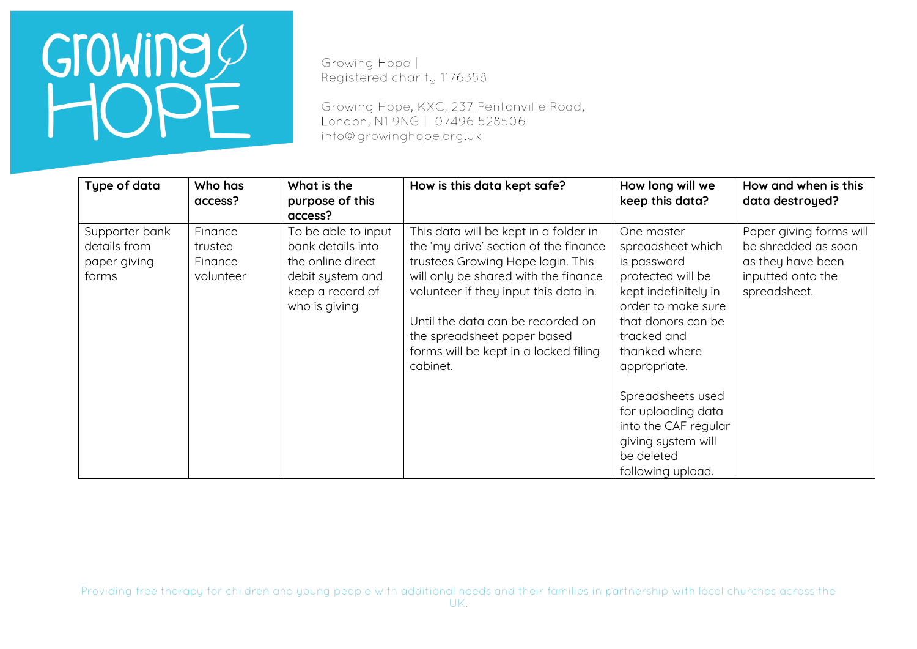Growing Hope | Registered charity 1176358

Growing Hope, KXC, 237 Pentonville Road, London, N1 9NG | 07496 528506 info@growinghope.org.uk

| Type of data                                            | Who has<br>access?                         | What is the<br>purpose of this<br>access?                                                                              | How is this data kept safe?                                                                                                                                                                                                                                                                                                   | How long will we<br>keep this data?                                                                                                                                                                                                                                                                                 | How and when is this<br>data destroyed?                                                                  |
|---------------------------------------------------------|--------------------------------------------|------------------------------------------------------------------------------------------------------------------------|-------------------------------------------------------------------------------------------------------------------------------------------------------------------------------------------------------------------------------------------------------------------------------------------------------------------------------|---------------------------------------------------------------------------------------------------------------------------------------------------------------------------------------------------------------------------------------------------------------------------------------------------------------------|----------------------------------------------------------------------------------------------------------|
| Supporter bank<br>details from<br>paper giving<br>forms | Finance<br>trustee<br>Finance<br>volunteer | To be able to input<br>bank details into<br>the online direct<br>debit system and<br>keep a record of<br>who is giving | This data will be kept in a folder in<br>the 'my drive' section of the finance<br>trustees Growing Hope login. This<br>will only be shared with the finance<br>volunteer if they input this data in.<br>Until the data can be recorded on<br>the spreadsheet paper based<br>forms will be kept in a locked filing<br>cabinet. | One master<br>spreadsheet which<br>is password<br>protected will be<br>kept indefinitely in<br>order to make sure<br>that donors can be<br>tracked and<br>thanked where<br>appropriate.<br>Spreadsheets used<br>for uploading data<br>into the CAF regular<br>giving system will<br>be deleted<br>following upload. | Paper giving forms will<br>be shredded as soon<br>as they have been<br>inputted onto the<br>spreadsheet. |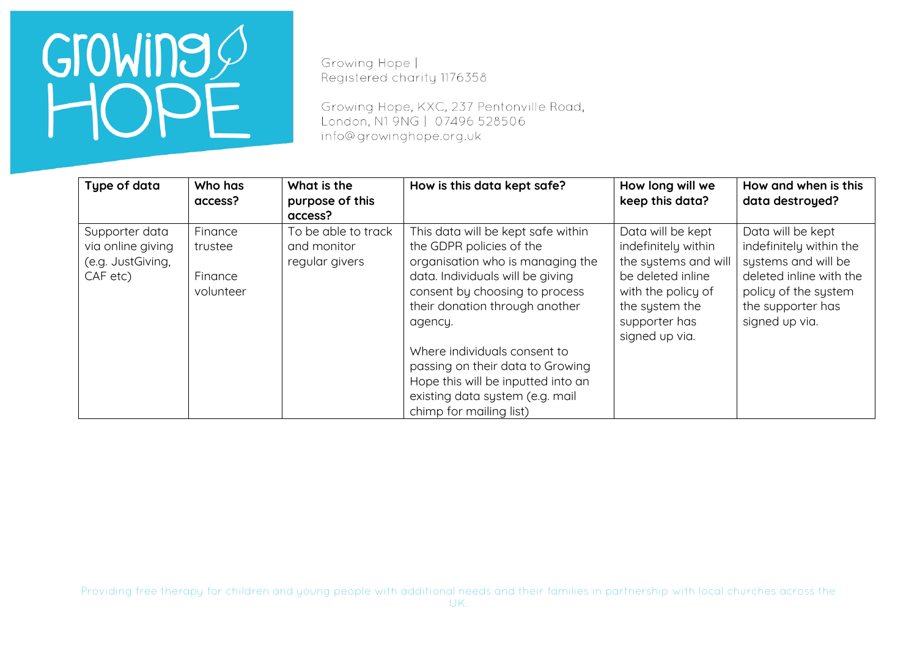Growing Hope | Registered charity 1176358

Growing Hope, KXC, 237 Pentonville Road, London, N1 9NG | 07496 528506 info@growinghope.org.uk

| Type of data                                                         | Who has<br>access?                         | What is the<br>purpose of this<br>access?            | How is this data kept safe?                                                                                                                                                                                                                                                                                                                                                                   | How long will we<br>keep this data?                                                                                                                              | How and when is this<br>data destroyed?                                                                                                                       |
|----------------------------------------------------------------------|--------------------------------------------|------------------------------------------------------|-----------------------------------------------------------------------------------------------------------------------------------------------------------------------------------------------------------------------------------------------------------------------------------------------------------------------------------------------------------------------------------------------|------------------------------------------------------------------------------------------------------------------------------------------------------------------|---------------------------------------------------------------------------------------------------------------------------------------------------------------|
| Supporter data<br>via online giving<br>(e.g. JustGiving,<br>CAF etc) | Finance<br>trustee<br>Finance<br>volunteer | To be able to track<br>and monitor<br>regular givers | This data will be kept safe within<br>the GDPR policies of the<br>organisation who is managing the<br>data. Individuals will be giving<br>consent by choosing to process<br>their donation through another<br>agency.<br>Where individuals consent to<br>passing on their data to Growing<br>Hope this will be inputted into an<br>existing data system (e.g. mail<br>chimp for mailing list) | Data will be kept<br>indefinitely within<br>the systems and will<br>be deleted inline<br>with the policy of<br>the system the<br>supporter has<br>signed up via. | Data will be kept<br>indefinitely within the<br>systems and will be<br>deleted inline with the<br>policy of the system<br>the supporter has<br>signed up via. |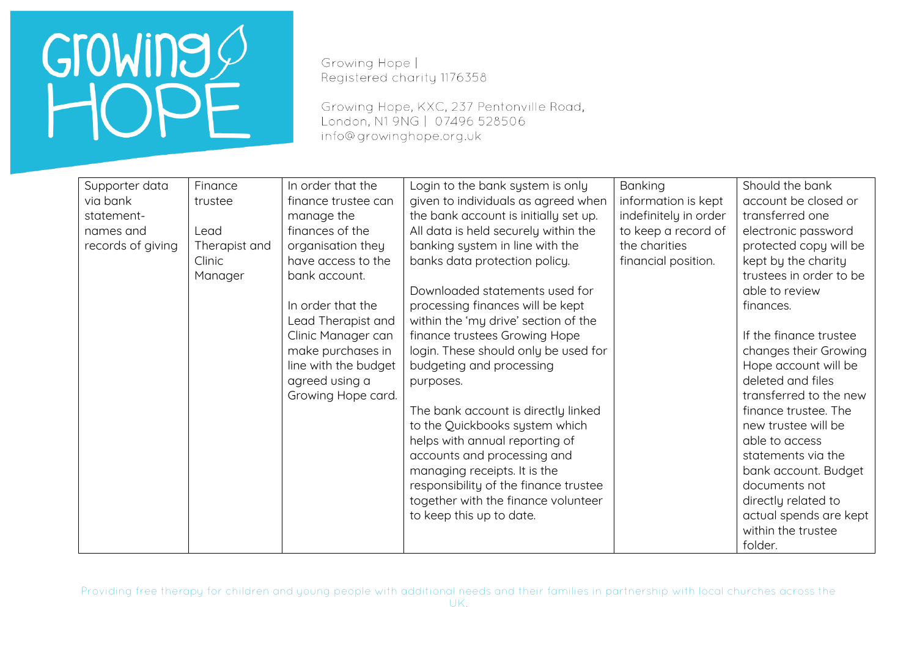Growing Hope | Registered charity 1176358

Growing Hope, KXC, 237 Pentonville Road, London, N1 9NG | 07496 528506 info@growinghope.org.uk

| Supporter data    | Finance       | In order that the    | Login to the bank system is only      | Banking               | Should the bank         |
|-------------------|---------------|----------------------|---------------------------------------|-----------------------|-------------------------|
| via bank          | trustee       | finance trustee can  | given to individuals as agreed when   | information is kept   | account be closed or    |
| statement-        |               | manage the           | the bank account is initially set up. | indefinitely in order | transferred one         |
| names and         | Lead          | finances of the      | All data is held securely within the  | to keep a record of   | electronic password     |
| records of giving | Therapist and | organisation they    | banking system in line with the       | the charities         | protected copy will be  |
|                   | Clinic        | have access to the   | banks data protection policy.         | financial position.   | kept by the charity     |
|                   | Manager       | bank account.        |                                       |                       | trustees in order to be |
|                   |               |                      | Downloaded statements used for        |                       | able to review          |
|                   |               | In order that the    | processing finances will be kept      |                       | finances.               |
|                   |               | Lead Therapist and   | within the 'my drive' section of the  |                       |                         |
|                   |               | Clinic Manager can   | finance trustees Growing Hope         |                       | If the finance trustee  |
|                   |               | make purchases in    | login. These should only be used for  |                       | changes their Growing   |
|                   |               | line with the budget | budgeting and processing              |                       | Hope account will be    |
|                   |               | agreed using a       | purposes.                             |                       | deleted and files       |
|                   |               | Growing Hope card.   |                                       |                       | transferred to the new  |
|                   |               |                      | The bank account is directly linked   |                       | finance trustee. The    |
|                   |               |                      | to the Quickbooks system which        |                       | new trustee will be     |
|                   |               |                      | helps with annual reporting of        |                       | able to access          |
|                   |               |                      | accounts and processing and           |                       | statements via the      |
|                   |               |                      | managing receipts. It is the          |                       | bank account. Budget    |
|                   |               |                      | responsibility of the finance trustee |                       | documents not           |
|                   |               |                      | together with the finance volunteer   |                       | directly related to     |
|                   |               |                      | to keep this up to date.              |                       | actual spends are kept  |
|                   |               |                      |                                       |                       | within the trustee      |
|                   |               |                      |                                       |                       | folder.                 |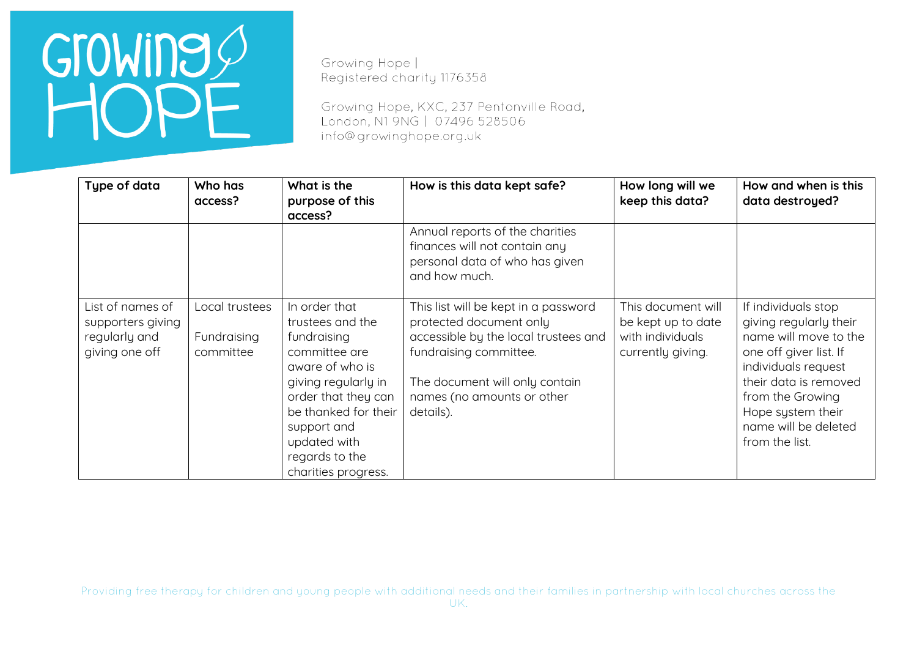Growing Hope | Registered charity 1176358

Growing Hope, KXC, 237 Pentonville Road, London, N1 9NG | 07496 528506 info@growinghope.org.uk

| Type of data                                                             | Who has<br>access?                         | What is the<br>purpose of this<br>access?                                                                                                                                                                                          | How is this data kept safe?                                                                                                                                                                                    | How long will we<br>keep this data?                                               | How and when is this<br>data destroyed?                                                                                                                                                                                             |
|--------------------------------------------------------------------------|--------------------------------------------|------------------------------------------------------------------------------------------------------------------------------------------------------------------------------------------------------------------------------------|----------------------------------------------------------------------------------------------------------------------------------------------------------------------------------------------------------------|-----------------------------------------------------------------------------------|-------------------------------------------------------------------------------------------------------------------------------------------------------------------------------------------------------------------------------------|
|                                                                          |                                            |                                                                                                                                                                                                                                    | Annual reports of the charities<br>finances will not contain any<br>personal data of who has given<br>and how much.                                                                                            |                                                                                   |                                                                                                                                                                                                                                     |
| List of names of<br>supporters giving<br>regularly and<br>giving one off | Local trustees<br>Fundraising<br>committee | In order that<br>trustees and the<br>fundraising<br>committee are<br>aware of who is<br>giving regularly in<br>order that they can<br>be thanked for their<br>support and<br>updated with<br>regards to the<br>charities progress. | This list will be kept in a password<br>protected document only<br>accessible by the local trustees and<br>fundraising committee.<br>The document will only contain<br>names (no amounts or other<br>details). | This document will<br>be kept up to date<br>with individuals<br>currently giving. | If individuals stop<br>giving regularly their<br>name will move to the<br>one off giver list. If<br>individuals request<br>their data is removed<br>from the Growing<br>Hope system their<br>name will be deleted<br>from the list. |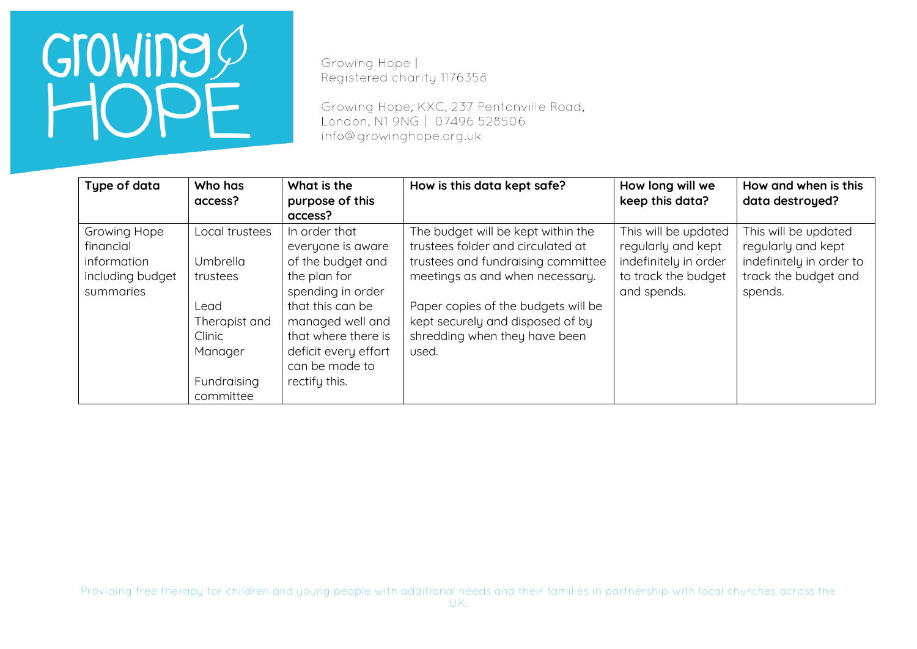Growing Hope | Registered charity 1176358

Growing Hope, KXC, 237 Pentonville Road, London, N1 9NG | 07496 528506 info@growinghope.org.uk

| Type of data                                                              | Who has<br>access?                                                                                               | What is the<br>purpose of this<br>access?                                                                                                                                                                              | How is this data kept safe?                                                                                                                                                                                                                                           | How long will we<br>keep this data?                                                                       | How and when is this<br>data destroyed?                                                                   |
|---------------------------------------------------------------------------|------------------------------------------------------------------------------------------------------------------|------------------------------------------------------------------------------------------------------------------------------------------------------------------------------------------------------------------------|-----------------------------------------------------------------------------------------------------------------------------------------------------------------------------------------------------------------------------------------------------------------------|-----------------------------------------------------------------------------------------------------------|-----------------------------------------------------------------------------------------------------------|
| Growing Hope<br>financial<br>information<br>including budget<br>summaries | Local trustees<br>Umbrella<br>trustees<br>Lead<br>Therapist and<br>Clinic<br>Manager<br>Fundraising<br>committee | In order that<br>everyone is aware<br>of the budget and<br>the plan for<br>spending in order<br>that this can be<br>managed well and<br>that where there is<br>deficit every effort<br>can be made to<br>rectify this. | The budget will be kept within the<br>trustees folder and circulated at<br>trustees and fundraising committee<br>meetings as and when necessary.<br>Paper copies of the budgets will be<br>kept securely and disposed of by<br>shredding when they have been<br>used. | This will be updated<br>regularly and kept<br>indefinitely in order<br>to track the budget<br>and spends. | This will be updated<br>regularly and kept<br>indefinitely in order to<br>track the budget and<br>spends. |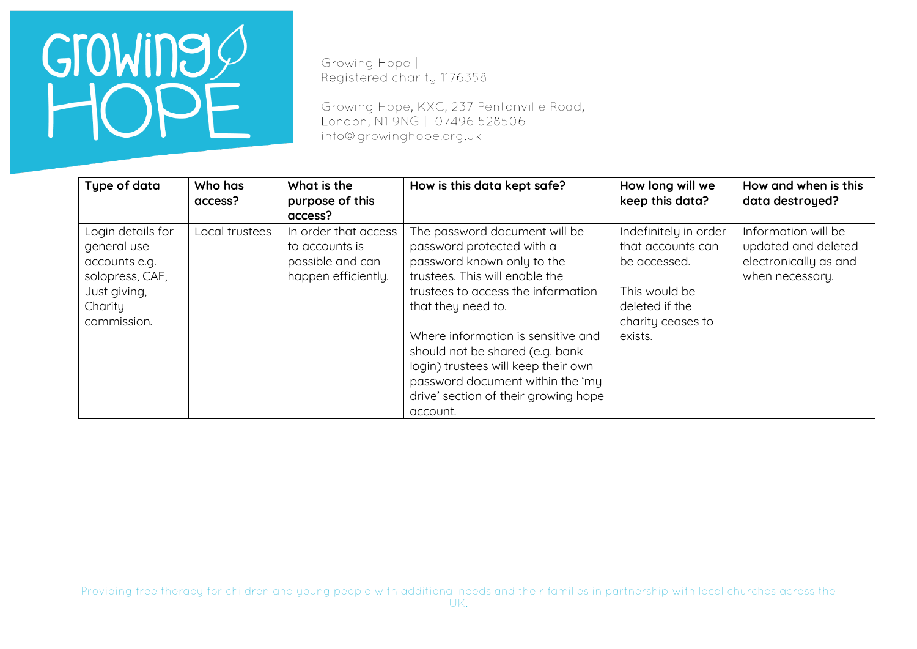Growing Hope | Registered charity 1176358

Growing Hope, KXC, 237 Pentonville Road, London, N1 9NG | 07496 528506 info@growinghope.org.uk

| Type of data                                                                                                   | Who has<br>access? | What is the<br>purpose of this<br>access?                                         | How is this data kept safe?                                                                                                                                                                                                                                                                                                                                                                    | How long will we<br>keep this data?                                                                                           | How and when is this<br>data destroyed?                                                |
|----------------------------------------------------------------------------------------------------------------|--------------------|-----------------------------------------------------------------------------------|------------------------------------------------------------------------------------------------------------------------------------------------------------------------------------------------------------------------------------------------------------------------------------------------------------------------------------------------------------------------------------------------|-------------------------------------------------------------------------------------------------------------------------------|----------------------------------------------------------------------------------------|
| Login details for<br>general use<br>accounts e.g.<br>solopress, CAF,<br>Just giving,<br>Charity<br>commission. | Local trustees     | In order that access<br>to accounts is<br>possible and can<br>happen efficiently. | The password document will be<br>password protected with a<br>password known only to the<br>trustees. This will enable the<br>trustees to access the information<br>that they need to.<br>Where information is sensitive and<br>should not be shared (e.g. bank<br>login) trustees will keep their own<br>password document within the 'my<br>drive' section of their growing hope<br>account. | Indefinitely in order<br>that accounts can<br>be accessed.<br>This would be<br>deleted if the<br>charity ceases to<br>exists. | Information will be<br>updated and deleted<br>electronically as and<br>when necessary. |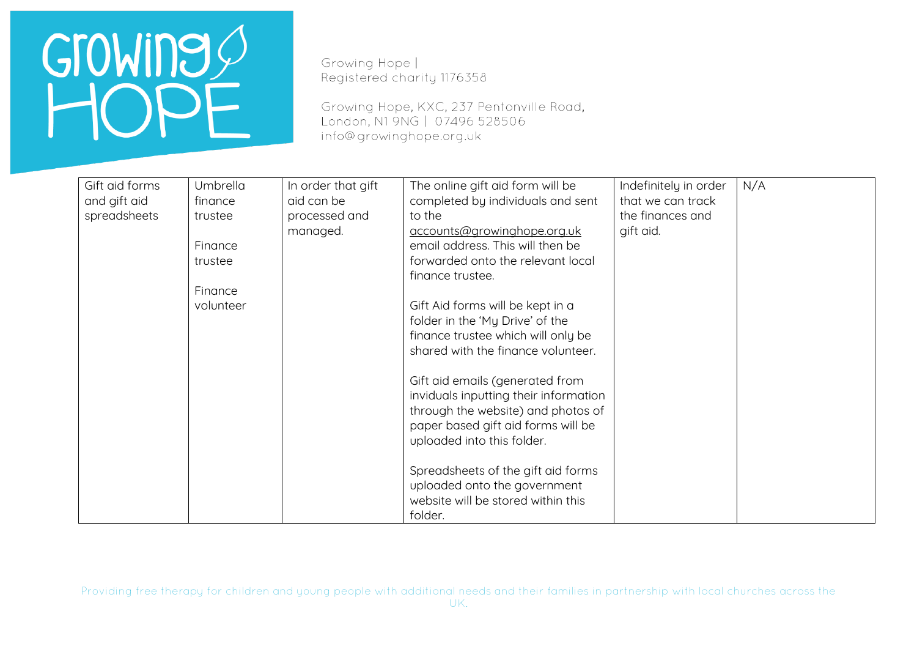Growing Hope | Registered charity 1176358

Growing Hope, KXC, 237 Pentonville Road, London, N1 9NG | 07496 528506 info@growinghope.org.uk

| Gift aid forms | <b>Umbrella</b> | In order that gift | The online gift aid form will be      | Indefinitely in order | N/A |
|----------------|-----------------|--------------------|---------------------------------------|-----------------------|-----|
| and gift aid   | finance         | aid can be         | completed by individuals and sent     | that we can track     |     |
| spreadsheets   | trustee         | processed and      | to the                                | the finances and      |     |
|                |                 | managed.           | accounts@growinghope.org.uk           | gift aid.             |     |
|                | Finance         |                    | email address. This will then be      |                       |     |
|                | trustee         |                    | forwarded onto the relevant local     |                       |     |
|                |                 |                    | finance trustee.                      |                       |     |
|                | Finance         |                    |                                       |                       |     |
|                | volunteer       |                    | Gift Aid forms will be kept in a      |                       |     |
|                |                 |                    | folder in the 'My Drive' of the       |                       |     |
|                |                 |                    | finance trustee which will only be    |                       |     |
|                |                 |                    | shared with the finance volunteer.    |                       |     |
|                |                 |                    |                                       |                       |     |
|                |                 |                    | Gift aid emails (generated from       |                       |     |
|                |                 |                    | inviduals inputting their information |                       |     |
|                |                 |                    | through the website) and photos of    |                       |     |
|                |                 |                    | paper based gift aid forms will be    |                       |     |
|                |                 |                    | uploaded into this folder.            |                       |     |
|                |                 |                    | Spreadsheets of the gift aid forms    |                       |     |
|                |                 |                    | uploaded onto the government          |                       |     |
|                |                 |                    | website will be stored within this    |                       |     |
|                |                 |                    | folder.                               |                       |     |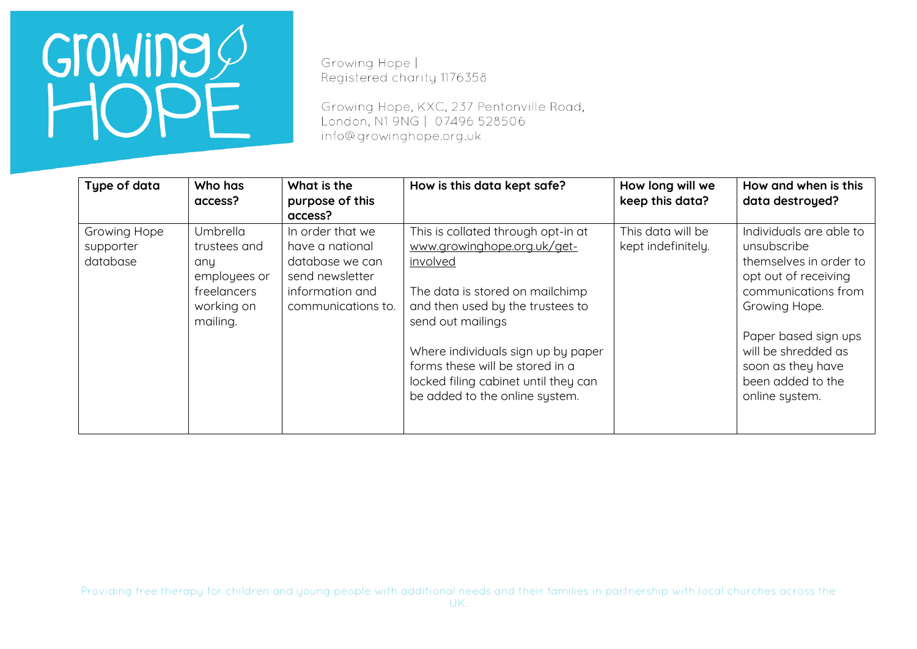Growing Hope | Registered charity 1176358

Growing Hope, KXC, 237 Pentonville Road, London, N1 9NG | 07496 528506 info@growinghope.org.uk

| Type of data                          | Who has<br>access?                                                                       | What is the<br>purpose of this<br>access?                                                                          | How is this data kept safe?                                                                                                                                                                                                                                                                                                  | How long will we<br>keep this data?     | How and when is this<br>data destroyed?                                                                                                                                                                                                     |
|---------------------------------------|------------------------------------------------------------------------------------------|--------------------------------------------------------------------------------------------------------------------|------------------------------------------------------------------------------------------------------------------------------------------------------------------------------------------------------------------------------------------------------------------------------------------------------------------------------|-----------------------------------------|---------------------------------------------------------------------------------------------------------------------------------------------------------------------------------------------------------------------------------------------|
| Growing Hope<br>supporter<br>database | Umbrella<br>trustees and<br>any<br>employees or<br>freelancers<br>working on<br>mailing. | In order that we<br>have a national<br>database we can<br>send newsletter<br>information and<br>communications to. | This is collated through opt-in at<br>www.growinghope.org.uk/get-<br>involved<br>The data is stored on mailchimp<br>and then used by the trustees to<br>send out mailings<br>Where individuals sign up by paper<br>forms these will be stored in a<br>locked filing cabinet until they can<br>be added to the online system. | This data will be<br>kept indefinitely. | Individuals are able to<br>unsubscribe<br>themselves in order to<br>opt out of receiving<br>communications from<br>Growing Hope.<br>Paper based sign ups<br>will be shredded as<br>soon as they have<br>been added to the<br>online system. |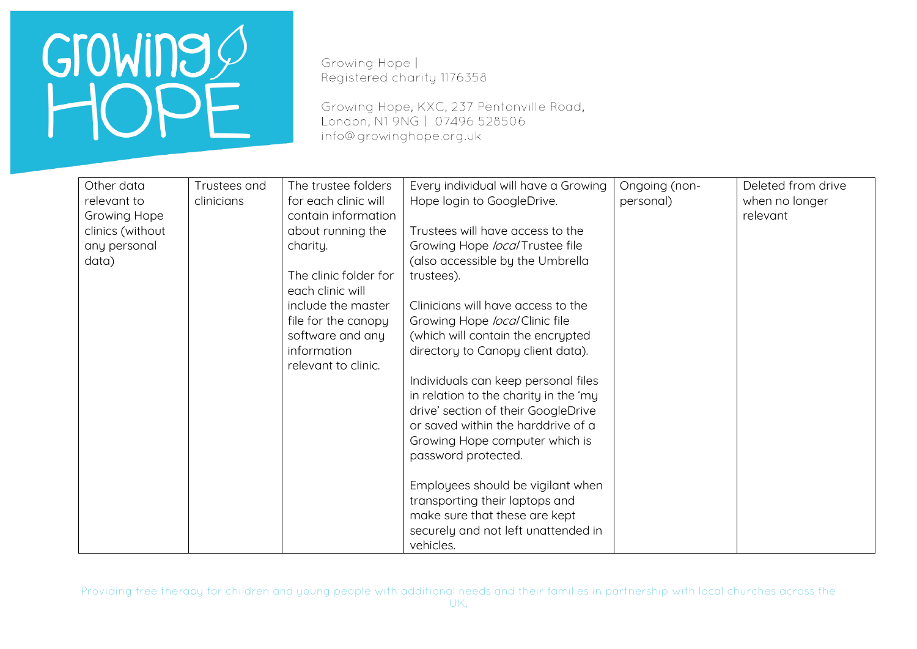Growing Hope | Registered charity 1176358

Growing Hope, KXC, 237 Pentonville Road, London, N1 9NG | 07496 528506 info@growinghope.org.uk

| Other data          | Trustees and | The trustee folders                       | Every individual will have a Growing  | Ongoing (non- | Deleted from drive |
|---------------------|--------------|-------------------------------------------|---------------------------------------|---------------|--------------------|
| relevant to         | clinicians   | for each clinic will                      | Hope login to GoogleDrive.            | personal)     | when no longer     |
| <b>Growing Hope</b> |              | contain information                       |                                       |               | relevant           |
| clinics (without    |              | about running the                         | Trustees will have access to the      |               |                    |
| any personal        |              | charity.                                  | Growing Hope local Trustee file       |               |                    |
| data)               |              |                                           | (also accessible by the Umbrella      |               |                    |
|                     |              | The clinic folder for<br>each clinic will | trustees).                            |               |                    |
|                     |              | include the master                        | Clinicians will have access to the    |               |                    |
|                     |              | file for the canopy                       | Growing Hope local Clinic file        |               |                    |
|                     |              | software and any                          | (which will contain the encrypted     |               |                    |
|                     |              | information                               | directory to Canopy client data).     |               |                    |
|                     |              | relevant to clinic.                       |                                       |               |                    |
|                     |              |                                           | Individuals can keep personal files   |               |                    |
|                     |              |                                           | in relation to the charity in the 'my |               |                    |
|                     |              |                                           | drive' section of their GoogleDrive   |               |                    |
|                     |              |                                           | or saved within the harddrive of a    |               |                    |
|                     |              |                                           | Growing Hope computer which is        |               |                    |
|                     |              |                                           | password protected.                   |               |                    |
|                     |              |                                           | Employees should be vigilant when     |               |                    |
|                     |              |                                           | transporting their laptops and        |               |                    |
|                     |              |                                           | make sure that these are kept         |               |                    |
|                     |              |                                           | securely and not left unattended in   |               |                    |
|                     |              |                                           | vehicles.                             |               |                    |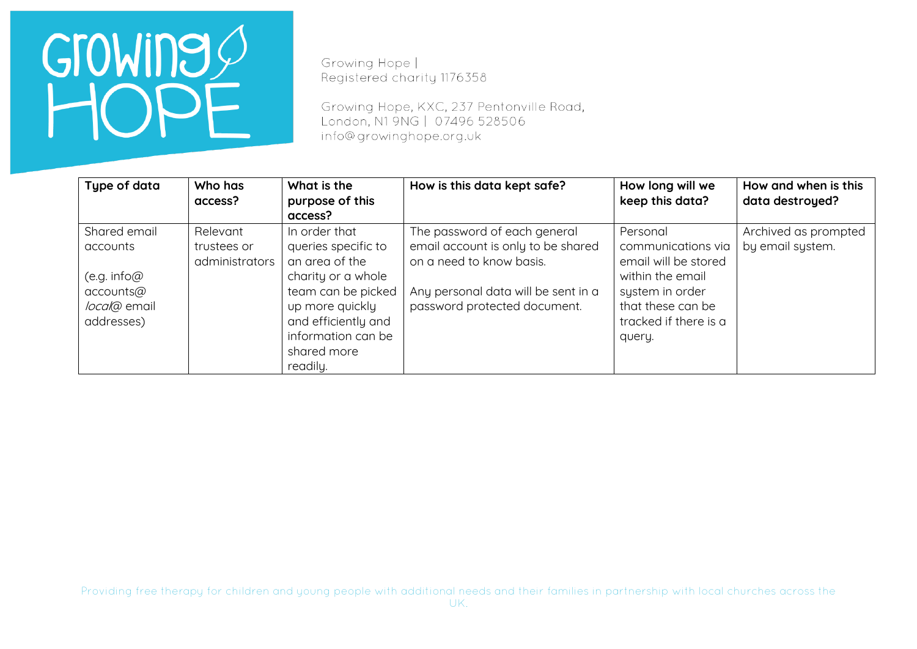Growing Hope | Registered charity 1176358

Growing Hope, KXC, 237 Pentonville Road, London, N1 9NG | 07496 528506 info@growinghope.org.uk

| Type of data                                                                       | Who has<br>access?                        | What is the<br>purpose of this<br>access?                                                                                                                                                     | How is this data kept safe?                                                                                                                                           | How long will we<br>keep this data?                                                                                                                   | How and when is this<br>data destroyed?  |
|------------------------------------------------------------------------------------|-------------------------------------------|-----------------------------------------------------------------------------------------------------------------------------------------------------------------------------------------------|-----------------------------------------------------------------------------------------------------------------------------------------------------------------------|-------------------------------------------------------------------------------------------------------------------------------------------------------|------------------------------------------|
| Shared email<br>accounts<br>(e.g. info@<br>accounts@<br>local@ email<br>addresses) | Relevant<br>trustees or<br>administrators | In order that<br>queries specific to<br>an area of the<br>charity or a whole<br>team can be picked<br>up more quickly<br>and efficiently and<br>information can be<br>shared more<br>readily. | The password of each general<br>email account is only to be shared<br>on a need to know basis.<br>Any personal data will be sent in a<br>password protected document. | Personal<br>communications via<br>email will be stored<br>within the email<br>system in order<br>that these can be<br>tracked if there is a<br>query. | Archived as prompted<br>by email system. |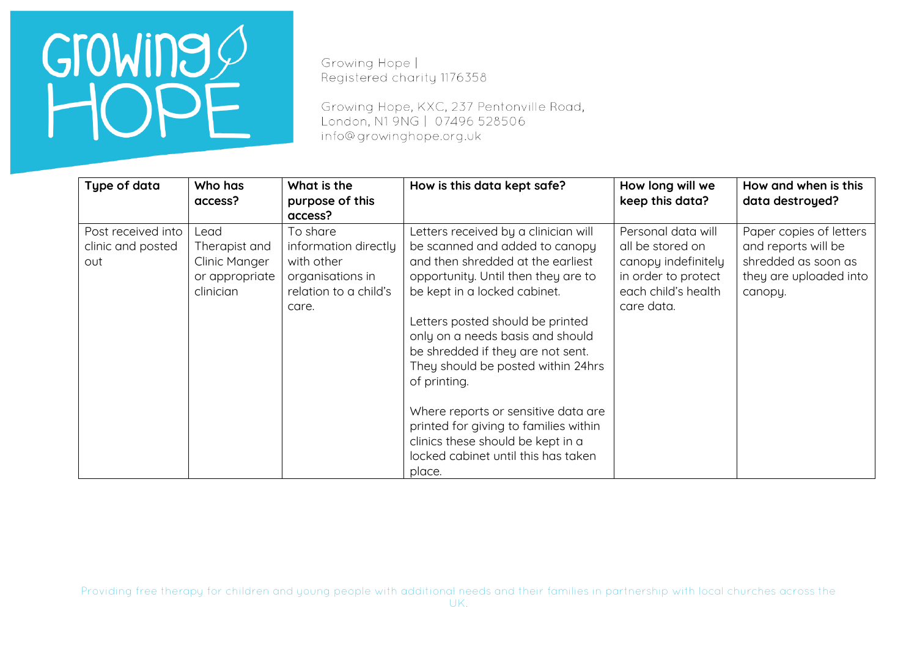Growing Hope | Registered charity 1176358

Growing Hope, KXC, 237 Pentonville Road, London, N1 9NG | 07496 528506 info@growinghope.org.uk

| Type of data                                   | Who has<br>access?                                                    | What is the<br>purpose of this<br>access?                                                            | How is this data kept safe?                                                                                                                                                                                                                                                                                                                                                                                                                                                                                                 | How long will we<br>keep this data?                                                                                       | How and when is this<br>data destroyed?                                                                    |
|------------------------------------------------|-----------------------------------------------------------------------|------------------------------------------------------------------------------------------------------|-----------------------------------------------------------------------------------------------------------------------------------------------------------------------------------------------------------------------------------------------------------------------------------------------------------------------------------------------------------------------------------------------------------------------------------------------------------------------------------------------------------------------------|---------------------------------------------------------------------------------------------------------------------------|------------------------------------------------------------------------------------------------------------|
| Post received into<br>clinic and posted<br>out | Lead<br>Therapist and<br>Clinic Manger<br>or appropriate<br>clinician | To share<br>information directly<br>with other<br>organisations in<br>relation to a child's<br>care. | Letters received by a clinician will<br>be scanned and added to canopy<br>and then shredded at the earliest<br>opportunity. Until then they are to<br>be kept in a locked cabinet.<br>Letters posted should be printed<br>only on a needs basis and should<br>be shredded if they are not sent.<br>They should be posted within 24hrs<br>of printing.<br>Where reports or sensitive data are<br>printed for giving to families within<br>clinics these should be kept in a<br>locked cabinet until this has taken<br>place. | Personal data will<br>all be stored on<br>canopy indefinitely<br>in order to protect<br>each child's health<br>care data. | Paper copies of letters<br>and reports will be<br>shredded as soon as<br>they are uploaded into<br>canopy. |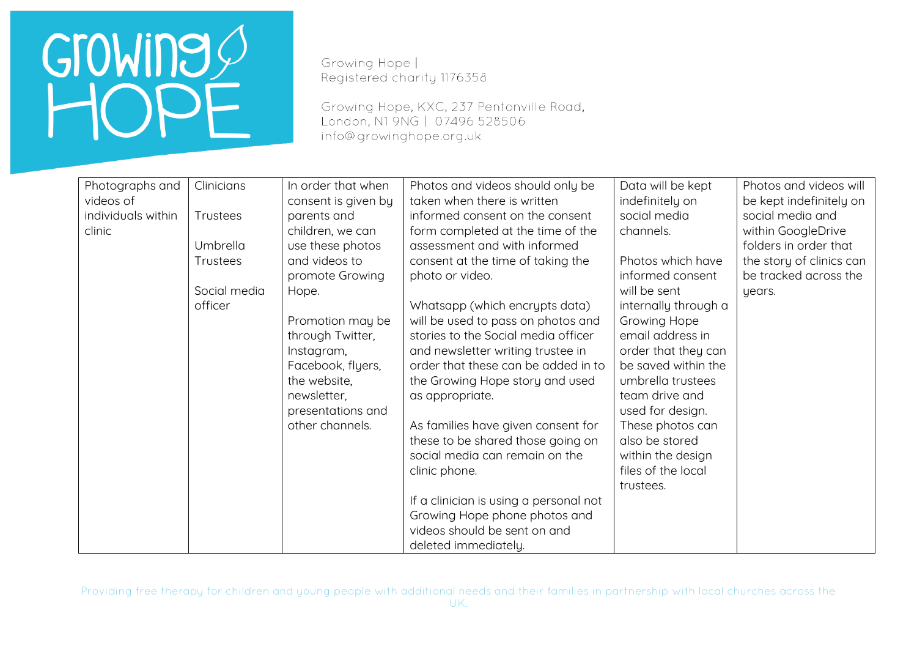Growing Hope | Registered charity 1176358

Growing Hope, KXC, 237 Pentonville Road, London, N1 9NG | 07496 528506 info@growinghope.org.uk

| Photographs and    | Clinicians   | In order that when  | Photos and videos should only be       | Data will be kept    | Photos and videos will   |
|--------------------|--------------|---------------------|----------------------------------------|----------------------|--------------------------|
| videos of          |              | consent is given by | taken when there is written            | indefinitely on      | be kept indefinitely on  |
| individuals within | Trustees     | parents and         | informed consent on the consent        | social media         | social media and         |
| clinic             |              | children, we can    | form completed at the time of the      | channels.            | within GoogleDrive       |
|                    | Umbrella     | use these photos    | assessment and with informed           |                      | folders in order that    |
|                    | Trustees     | and videos to       | consent at the time of taking the      | Photos which have    | the story of clinics can |
|                    |              | promote Growing     | photo or video.                        | informed consent     | be tracked across the    |
|                    | Social media | Hope.               |                                        | will be sent         | years.                   |
|                    | officer      |                     | Whatsapp (which encrypts data)         | internally through a |                          |
|                    |              | Promotion may be    | will be used to pass on photos and     | Growing Hope         |                          |
|                    |              | through Twitter,    | stories to the Social media officer    | email address in     |                          |
|                    |              | Instagram,          | and newsletter writing trustee in      | order that they can  |                          |
|                    |              | Facebook, flyers,   | order that these can be added in to    | be saved within the  |                          |
|                    |              | the website,        | the Growing Hope story and used        | umbrella trustees    |                          |
|                    |              | newsletter,         | as appropriate.                        | team drive and       |                          |
|                    |              | presentations and   |                                        | used for design.     |                          |
|                    |              | other channels.     | As families have given consent for     | These photos can     |                          |
|                    |              |                     | these to be shared those going on      | also be stored       |                          |
|                    |              |                     | social media can remain on the         | within the design    |                          |
|                    |              |                     | clinic phone.                          | files of the local   |                          |
|                    |              |                     |                                        | trustees.            |                          |
|                    |              |                     | If a clinician is using a personal not |                      |                          |
|                    |              |                     | Growing Hope phone photos and          |                      |                          |
|                    |              |                     | videos should be sent on and           |                      |                          |
|                    |              |                     | deleted immediately.                   |                      |                          |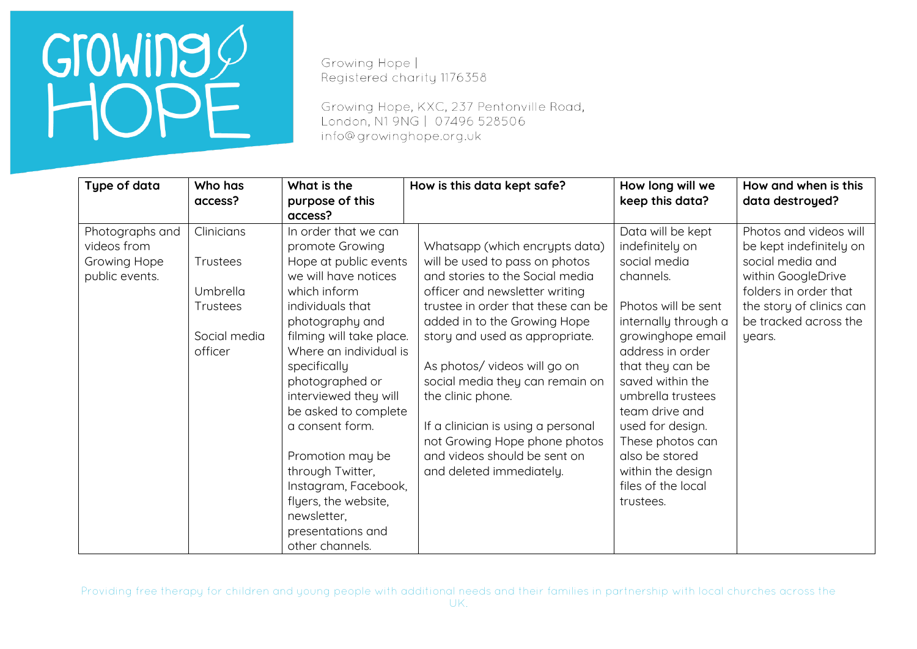Growing Hope | Registered charity 1176358

Growing Hope, KXC, 237 Pentonville Road, London, N1 9NG | 07496 528506 info@growinghope.org.uk

| Type of data                                                     | Who has<br>access?                                                               | What is the<br>purpose of this<br>access?                                                                                                                                                                                                                                                                                                                                                                                                                   | How is this data kept safe?                                                                                                                                                                                                                                                                                                                                                                                                                                             | How long will we<br>keep this data?                                                                                                                                                                                                                                                                                                                        | How and when is this<br>data destroyed?                                                                                                                                             |
|------------------------------------------------------------------|----------------------------------------------------------------------------------|-------------------------------------------------------------------------------------------------------------------------------------------------------------------------------------------------------------------------------------------------------------------------------------------------------------------------------------------------------------------------------------------------------------------------------------------------------------|-------------------------------------------------------------------------------------------------------------------------------------------------------------------------------------------------------------------------------------------------------------------------------------------------------------------------------------------------------------------------------------------------------------------------------------------------------------------------|------------------------------------------------------------------------------------------------------------------------------------------------------------------------------------------------------------------------------------------------------------------------------------------------------------------------------------------------------------|-------------------------------------------------------------------------------------------------------------------------------------------------------------------------------------|
| Photographs and<br>videos from<br>Growing Hope<br>public events. | Clinicians<br>Trustees<br>Umbrella<br><b>Trustees</b><br>Social media<br>officer | In order that we can<br>promote Growing<br>Hope at public events<br>we will have notices<br>which inform<br>individuals that<br>photography and<br>filming will take place.<br>Where an individual is<br>specifically<br>photographed or<br>interviewed they will<br>be asked to complete<br>a consent form.<br>Promotion may be<br>through Twitter,<br>Instagram, Facebook,<br>flyers, the website,<br>newsletter,<br>presentations and<br>other channels. | Whatsapp (which encrypts data)<br>will be used to pass on photos<br>and stories to the Social media<br>officer and newsletter writing<br>trustee in order that these can be<br>added in to the Growing Hope<br>story and used as appropriate.<br>As photos/videos will go on<br>social media they can remain on<br>the clinic phone.<br>If a clinician is using a personal<br>not Growing Hope phone photos<br>and videos should be sent on<br>and deleted immediately. | Data will be kept<br>indefinitely on<br>social media<br>channels.<br>Photos will be sent<br>internally through a<br>growinghope email<br>address in order<br>that they can be<br>saved within the<br>umbrella trustees<br>team drive and<br>used for design.<br>These photos can<br>also be stored<br>within the design<br>files of the local<br>trustees. | Photos and videos will<br>be kept indefinitely on<br>social media and<br>within GoogleDrive<br>folders in order that<br>the story of clinics can<br>be tracked across the<br>years. |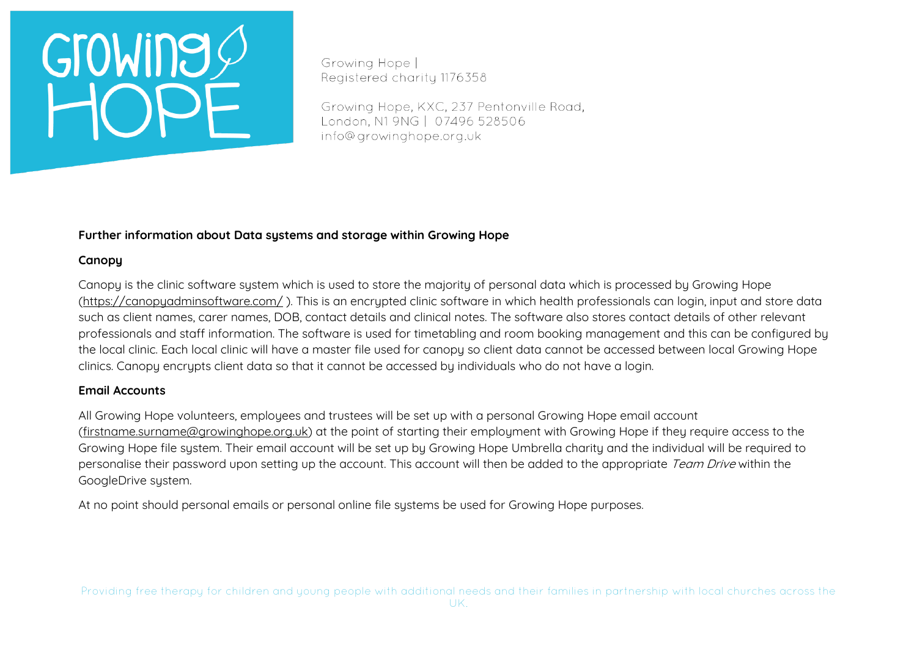Growing Hope | Registered charity 1176358

Growing Hope, KXC, 237 Pentonville Road, London, N1 9NG | 07496 528506 info@growinghope.org.uk

### **Further information about Data systems and storage within Growing Hope**

### **Canopy**

Canopy is the clinic software system which is used to store the majority of personal data which is processed by Growing Hope [\(https://canopyadminsoftware.com/](https://canopyadminsoftware.com/) ). This is an encrypted clinic software in which health professionals can login, input and store data such as client names, carer names, DOB, contact details and clinical notes. The software also stores contact details of other relevant professionals and staff information. The software is used for timetabling and room booking management and this can be configured by the local clinic. Each local clinic will have a master file used for canopy so client data cannot be accessed between local Growing Hope clinics. Canopy encrypts client data so that it cannot be accessed by individuals who do not have a login.

### **Email Accounts**

All Growing Hope volunteers, employees and trustees will be set up with a personal Growing Hope email account [\(firstname.surname@growinghope.org.uk\)](mailto:firstname.surname@growinghope.org.uk) at the point of starting their employment with Growing Hope if they require access to the Growing Hope file system. Their email account will be set up by Growing Hope Umbrella charity and the individual will be required to personalise their password upon setting up the account. This account will then be added to the appropriate Team Drive within the GoogleDrive system.

At no point should personal emails or personal online file sustems be used for Growing Hope purposes.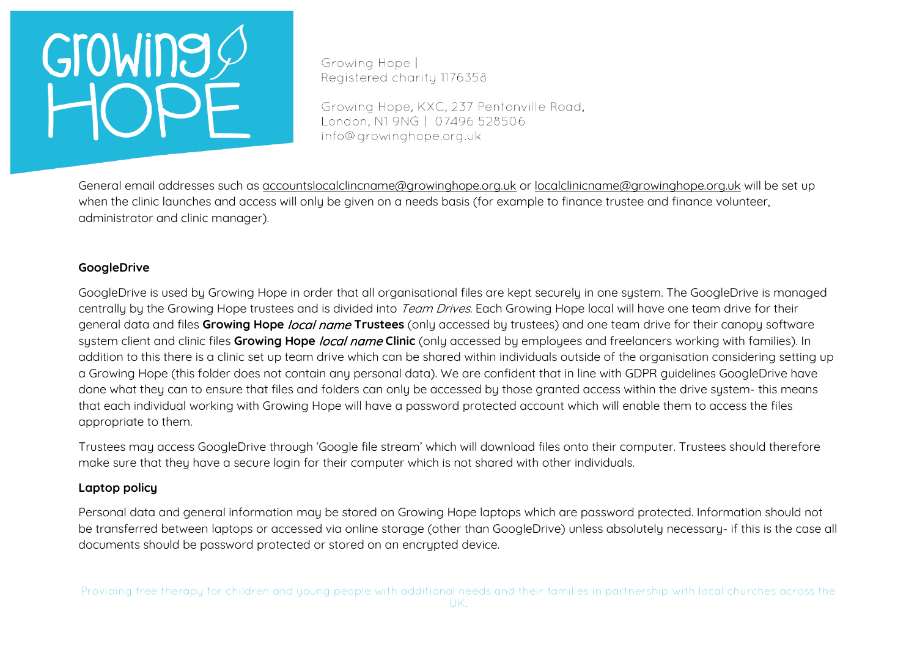Growing Hope | Registered charity 1176358

Growing Hope, KXC, 237 Pentonville Road, London, N1 9NG | 07496 528506 info@growinghope.org.uk

General email addresses such as [accountslocalclincname@growinghope.org.uk](mailto:accountslocalclincname@growinghope.org.uk) or [localclinicname@growinghope.org.uk](mailto:localclinicname@growinghope.org.uk) will be set up when the clinic launches and access will only be given on a needs basis (for example to finance trustee and finance volunteer, administrator and clinic manager).

### **GoogleDrive**

GoogleDrive is used by Growing Hope in order that all organisational files are kept securely in one system. The GoogleDrive is managed centrally by the Growing Hope trustees and is divided into Team Drives. Each Growing Hope local will have one team drive for their general data and files **Growing Hope** local name **Trustees** (only accessed by trustees) and one team drive for their canopy software system client and clinic files **Growing Hope** local name **Clinic** (only accessed by employees and freelancers working with families). In addition to this there is a clinic set up team drive which can be shared within individuals outside of the organisation considering setting up a Growing Hope (this folder does not contain any personal data). We are confident that in line with GDPR guidelines GoogleDrive have done what they can to ensure that files and folders can only be accessed by those granted access within the drive system- this means that each individual working with Growing Hope will have a password protected account which will enable them to access the files appropriate to them.

Trustees may access GoogleDrive through 'Google file stream' which will download files onto their computer. Trustees should therefore make sure that they have a secure login for their computer which is not shared with other individuals.

### **Laptop policy**

Personal data and general information may be stored on Growing Hope laptops which are password protected. Information should not be transferred between laptops or accessed via online storage (other than GoogleDrive) unless absolutely necessary- if this is the case all documents should be password protected or stored on an encrypted device.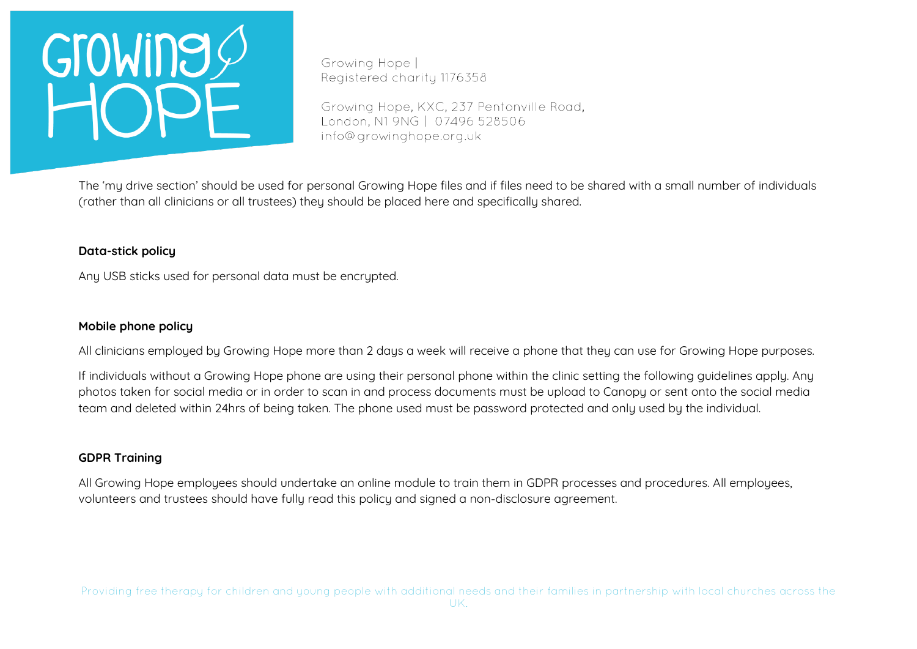Growing Hope | Registered charity 1176358

Growing Hope, KXC, 237 Pentonville Road, London, N1 9NG | 07496 528506 info@growinghope.org.uk

The 'my drive section' should be used for personal Growing Hope files and if files need to be shared with a small number of individuals (rather than all clinicians or all trustees) they should be placed here and specifically shared.

### **Data-stick policy**

Any USB sticks used for personal data must be encrypted.

### **Mobile phone policy**

All clinicians employed by Growing Hope more than 2 days a week will receive a phone that they can use for Growing Hope purposes.

If individuals without a Growing Hope phone are using their personal phone within the clinic setting the following guidelines apply. Any photos taken for social media or in order to scan in and process documents must be upload to Canopy or sent onto the social media team and deleted within 24hrs of being taken. The phone used must be password protected and only used by the individual.

### **GDPR Training**

All Growing Hope employees should undertake an online module to train them in GDPR processes and procedures. All employees, volunteers and trustees should have fully read this policy and signed a non-disclosure agreement.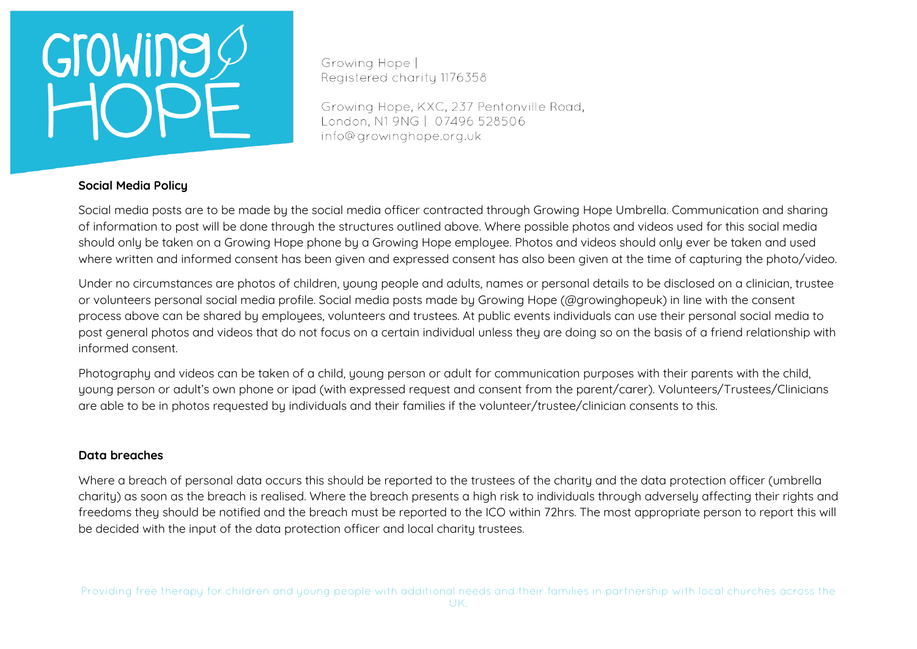Growing Hope | Registered charity 1176358

Growing Hope, KXC, 237 Pentonville Road, London, N1 9NG | 07496 528506 info@growinghope.org.uk

### **Social Media Policy**

Social media posts are to be made by the social media officer contracted through Growing Hope Umbrella. Communication and sharing of information to post will be done through the structures outlined above. Where possible photos and videos used for this social media should only be taken on a Growing Hope phone by a Growing Hope employee. Photos and videos should only ever be taken and used where written and informed consent has been given and expressed consent has also been given at the time of capturing the photo/video.

Under no circumstances are photos of children, young people and adults, names or personal details to be disclosed on a clinician, trustee or volunteers personal social media profile. Social media posts made by Growing Hope (@growinghopeuk) in line with the consent process above can be shared by employees, volunteers and trustees. At public events individuals can use their personal social media to post general photos and videos that do not focus on a certain individual unless they are doing so on the basis of a friend relationship with informed consent.

Photography and videos can be taken of a child, young person or adult for communication purposes with their parents with the child, young person or adult's own phone or ipad (with expressed request and consent from the parent/carer). Volunteers/Trustees/Clinicians are able to be in photos requested by individuals and their families if the volunteer/trustee/clinician consents to this.

### **Data breaches**

Where a breach of personal data occurs this should be reported to the trustees of the charity and the data protection officer (umbrella charity) as soon as the breach is realised. Where the breach presents a high risk to individuals through adversely affecting their rights and freedoms they should be notified and the breach must be reported to the ICO within 72hrs. The most appropriate person to report this will be decided with the input of the data protection officer and local charity trustees.